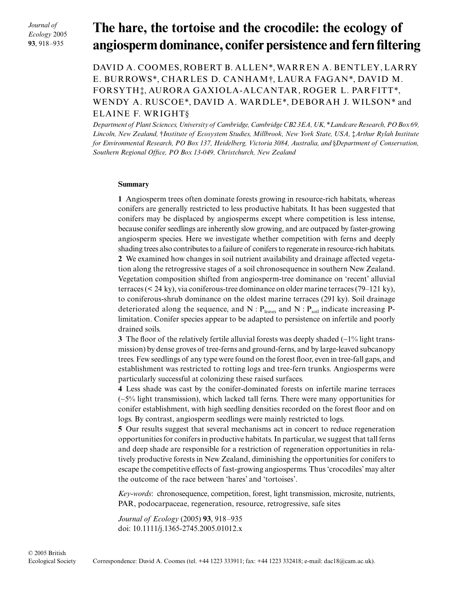*Journal of Ecology* 2005 **93**, 918–935

# The hare, the tortoise and the crocodile: the ecology of **angiosperm dominance, conifer persistence and fern filtering**

DAVID A. COOMES, ROBERT B. ALLEN\*, WARREN A. BENTLEY, LARRY E. BURROWS\*, CHARLES D. CANHAM†, LAURA FAGAN\*, DAVID M. FORSYTH‡, AURORA GAXIOLA-ALCANTAR, ROGER L. PARFITT\*, WENDY A. RUSCOE\*, DAVID A. WARDLE\*, DEBORAH J. WILSON\* and ELAINE F. WRIGHT§

*Department of Plant Sciences, University of Cambridge, Cambridge CB2 3EA, UK,* \**Landcare Research, PO Box 69, Lincoln, New Zealand,* †*Institute of Ecosystem Studies, Millbrook, New York State, USA,* ‡*Arthur Rylah Institute for Environmental Research, PO Box 137, Heidelberg, Victoria 3084, Australia, and* §*Department of Conservation, Southern Regional Office, PO Box 13-049, Christchurch, New Zealand* 

## **Summary**

**1** Angiosperm trees often dominate forests growing in resource-rich habitats, whereas conifers are generally restricted to less productive habitats. It has been suggested that conifers may be displaced by angiosperms except where competition is less intense, because conifer seedlings are inherently slow growing, and are outpaced by faster-growing angiosperm species. Here we investigate whether competition with ferns and deeply shading trees also contributes to a failure of conifers to regenerate in resource-rich habitats. **2** We examined how changes in soil nutrient availability and drainage affected vegetation along the retrogressive stages of a soil chronosequence in southern New Zealand. Vegetation composition shifted from angiosperm-tree dominance on 'recent' alluvial terraces (< 24 ky), via coniferous-tree dominance on older marine terraces (79–121 ky), to coniferous-shrub dominance on the oldest marine terraces (291 ky). Soil drainage deteriorated along the sequence, and  $N : P_{\text{leaves}}$  and  $N : P_{\text{soil}}$  indicate increasing Plimitation. Conifer species appear to be adapted to persistence on infertile and poorly drained soils.

**3** The floor of the relatively fertile alluvial forests was deeply shaded (∼1% light transmission) by dense groves of tree-ferns and ground-ferns, and by large-leaved subcanopy trees. Few seedlings of any type were found on the forest floor, even in tree-fall gaps, and establishment was restricted to rotting logs and tree-fern trunks. Angiosperms were particularly successful at colonizing these raised surfaces.

**4** Less shade was cast by the conifer-dominated forests on infertile marine terraces (∼5% light transmission), which lacked tall ferns. There were many opportunities for conifer establishment, with high seedling densities recorded on the forest floor and on logs. By contrast, angiosperm seedlings were mainly restricted to logs.

**5** Our results suggest that several mechanisms act in concert to reduce regeneration opportunities for conifers in productive habitats. In particular, we suggest that tall ferns and deep shade are responsible for a restriction of regeneration opportunities in relatively productive forests in New Zealand, diminishing the opportunities for conifers to escape the competitive effects of fast-growing angiosperms. Thus 'crocodiles' may alter the outcome of the race between 'hares' and 'tortoises'.

*Key-words*: chronosequence, competition, forest, light transmission, microsite, nutrients, PAR, podocarpaceae, regeneration, resource, retrogressive, safe sites

*Journal of Ecology* (2005) **93**, 918–935 doi: 10.1111/j.1365-2745.2005.01012.x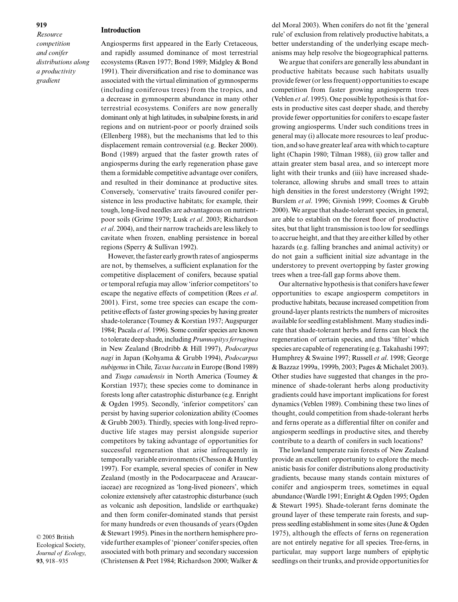*gradient*

*Resource competition and conifer distributions along a productivity* 

#### **Introduction**

Angiosperms first appeared in the Early Cretaceous, and rapidly assumed dominance of most terrestrial ecosystems (Raven 1977; Bond 1989; Midgley & Bond 1991). Their diversification and rise to dominance was associated with the virtual elimination of gymnosperms (including coniferous trees) from the tropics, and a decrease in gymnosperm abundance in many other terrestrial ecosystems. Conifers are now generally dominant only at high latitudes, in subalpine forests, in arid regions and on nutrient-poor or poorly drained soils (Ellenberg 1988), but the mechanisms that led to this displacement remain controversial (e.g. Becker 2000). Bond (1989) argued that the faster growth rates of angiosperms during the early regeneration phase gave them a formidable competitive advantage over conifers, and resulted in their dominance at productive sites. Conversely, 'conservative' traits favoured conifer persistence in less productive habitats; for example, their tough, long-lived needles are advantageous on nutrientpoor soils (Grime 1979; Lusk *et al*. 2003; Richardson *et al*. 2004), and their narrow tracheids are less likely to cavitate when frozen, enabling persistence in boreal regions (Sperry & Sullivan 1992).

However, the faster early growth rates of angiosperms are not, by themselves, a sufficient explanation for the competitive displacement of conifers, because spatial or temporal refugia may allow 'inferior competitors' to escape the negative effects of competition (Rees *et al*. 2001). First, some tree species can escape the competitive effects of faster growing species by having greater shade-tolerance (Toumey & Korstian 1937; Augspurger 1984; Pacala *et al*. 1996). Some conifer species are known to tolerate deep shade, including *Prumnopitys ferruginea* in New Zealand (Brodribb & Hill 1997), *Podocarpus nagi* in Japan (Kohyama & Grubb 1994), *Podocarpus nubigenus*in Chile, *Taxus baccata* in Europe (Bond 1989) and *Tsuga canadensis* in North America (Toumey & Korstian 1937); these species come to dominance in forests long after catastrophic disturbance (e.g. Enright & Ogden 1995). Secondly, 'inferior competitors' can persist by having superior colonization ability (Coomes & Grubb 2003). Thirdly, species with long-lived reproductive life stages may persist alongside superior competitors by taking advantage of opportunities for successful regeneration that arise infrequently in temporally variable environments (Chesson & Huntley 1997). For example, several species of conifer in New Zealand (mostly in the Podocarpaceae and Araucariaceae) are recognized as 'long-lived pioneers', which colonize extensively after catastrophic disturbance (such as volcanic ash deposition, landslide or earthquake) and then form conifer-dominated stands that persist for many hundreds or even thousands of years (Ogden & Stewart 1995). Pines in the northern hemisphere provide further examples of 'pioneer' conifer species, often associated with both primary and secondary succession (Christensen & Peet 1984; Richardson 2000; Walker &

© 2005 British Ecological Society, *Journal of Ecology*, **93**, 918–935

del Moral 2003). When conifers do not fit the 'general rule' of exclusion from relatively productive habitats, a better understanding of the underlying escape mechanisms may help resolve the biogeographical patterns.

We argue that conifers are generally less abundant in productive habitats because such habitats usually provide fewer (or less frequent) opportunities to escape competition from faster growing angiosperm trees (Veblen *et al*. 1995). One possible hypothesis is that forests in productive sites cast deeper shade, and thereby provide fewer opportunities for conifers to escape faster growing angiosperms. Under such conditions trees in general may (i) allocate more resources to leaf production, and so have greater leaf area with which to capture light (Chapin 1980; Tilman 1988), (ii) grow taller and attain greater stem basal area, and so intercept more light with their trunks and (iii) have increased shadetolerance, allowing shrubs and small trees to attain high densities in the forest understorey (Wright 1992; Burslem *et al*. 1996; Givnish 1999; Coomes & Grubb 2000). We argue that shade-tolerant species, in general, are able to establish on the forest floor of productive sites, but that light transmission is too low for seedlings to accrue height, and that they are either killed by other hazards (e.g. falling branches and animal activity) or do not gain a sufficient initial size advantage in the understorey to prevent overtopping by faster growing trees when a tree-fall gap forms above them.

Our alternative hypothesis is that conifers have fewer opportunities to escape angiosperm competitors in productive habitats, because increased competition from ground-layer plants restricts the numbers of microsites available for seedling establishment. Many studies indicate that shade-tolerant herbs and ferns can block the regeneration of certain species, and thus 'filter' which species are capable of regenerating (e.g. Takahashi 1997; Humphrey & Swaine 1997; Russell *et al*. 1998; George & Bazzaz 1999a, 1999b, 2003; Pages & Michalet 2003). Other studies have suggested that changes in the prominence of shade-tolerant herbs along productivity gradients could have important implications for forest dynamics (Veblen 1989). Combining these two lines of thought, could competition from shade-tolerant herbs and ferns operate as a differential filter on conifer and angiosperm seedlings in productive sites, and thereby contribute to a dearth of conifers in such locations?

The lowland temperate rain forests of New Zealand provide an excellent opportunity to explore the mechanistic basis for conifer distributions along productivity gradients, because many stands contain mixtures of conifer and angiosperm trees, sometimes in equal abundance (Wardle 1991; Enright & Ogden 1995; Ogden & Stewart 1995). Shade-tolerant ferns dominate the ground layer of these temperate rain forests, and suppress seedling establishment in some sites (June & Ogden 1975), although the effects of ferns on regeneration are not entirely negative for all species. Tree-ferns, in particular, may support large numbers of epiphytic seedlings on their trunks, and provide opportunities for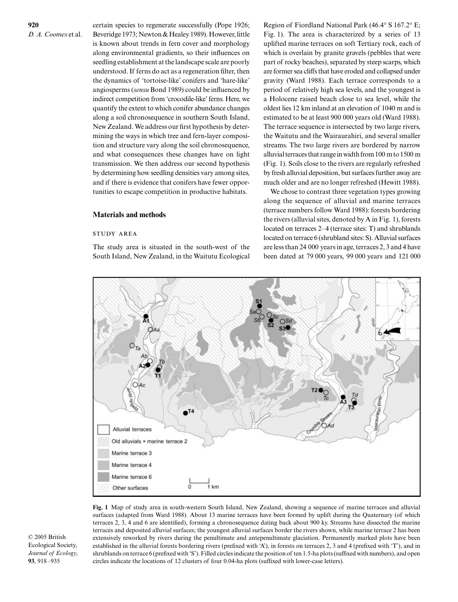certain species to regenerate successfully (Pope 1926; Beveridge 1973; Newton & Healey 1989). However, little is known about trends in fern cover and morphology along environmental gradients, so their influences on seedling establishment at the landscape scale are poorly understood. If ferns do act as a regeneration filter, then the dynamics of 'tortoise-like' conifers and 'hare-like' angiosperms (*sensu* Bond 1989) could be influenced by indirect competition from 'crocodile-like' ferns. Here, we quantify the extent to which conifer abundance changes along a soil chronosequence in southern South Island, New Zealand. We address our first hypothesis by determining the ways in which tree and fern-layer composition and structure vary along the soil chronosequence, and what consequences these changes have on light transmission. We then address our second hypothesis by determining how seedling densities vary among sites, and if there is evidence that conifers have fewer opportunities to escape competition in productive habitats.

## **Materials and methods**

## **STUDY AREA**

The study area is situated in the south-west of the South Island, New Zealand, in the Waitutu Ecological

Region of Fiordland National Park (46.4° S 167.2° E; Fig. 1). The area is characterized by a series of 13 uplifted marine terraces on soft Tertiary rock, each of which is overlain by granite gravels (pebbles that were part of rocky beaches), separated by steep scarps, which are former sea cliffs that have eroded and collapsed under gravity (Ward 1988). Each terrace corresponds to a period of relatively high sea levels, and the youngest is a Holocene raised beach close to sea level, while the oldest lies 12 km inland at an elevation of 1040 m and is estimated to be at least 900 000 years old (Ward 1988). The terrace sequence is intersected by two large rivers, the Waitutu and the Wairaurahiri, and several smaller streams. The two large rivers are bordered by narrow alluvial terraces that range in width from 100 m to 1500 m (Fig. 1). Soils close to the rivers are regularly refreshed by fresh alluvial deposition, but surfaces further away are much older and are no longer refreshed (Hewitt 1988).

We chose to contrast three vegetation types growing along the sequence of alluvial and marine terraces (terrace numbers follow Ward 1988): forests bordering the rivers (alluvial sites, denoted by A in Fig. 1), forests located on terraces 2–4 (terrace sites: T) and shrublands located on terrace 6 (shrubland sites: S). Alluvial surfaces are less than 24 000 years in age, terraces 2, 3 and 4 have been dated at 79 000 years, 99 000 years and 121 000



**Fig. 1** Map of study area in south-western South Island, New Zealand, showing a sequence of marine terraces and alluvial surfaces (adapted from Ward 1988). About 13 marine terraces have been formed by uplift during the Quaternary (of which terraces 2, 3, 4 and 6 are identified), forming a chronosequence dating back about 900 ky. Streams have dissected the marine terraces and deposited alluvial surfaces; the youngest alluvial surfaces border the rivers shown, while marine terrace 2 has been extensively reworked by rivers during the penultimate and antepenultimate glaciation. Permanently marked plots have been established in the alluvial forests bordering rivers (prefixed with 'A'), in forests on terraces 2, 3 and 4 (prefixed with 'T'), and in shrublands on terrace 6 (prefixed with 'S'). Filled circles indicate the position of ten 1.5-ha plots (suffixed with numbers), and open circles indicate the locations of 12 clusters of four 0.04-ha plots (suffixed with lower-case letters).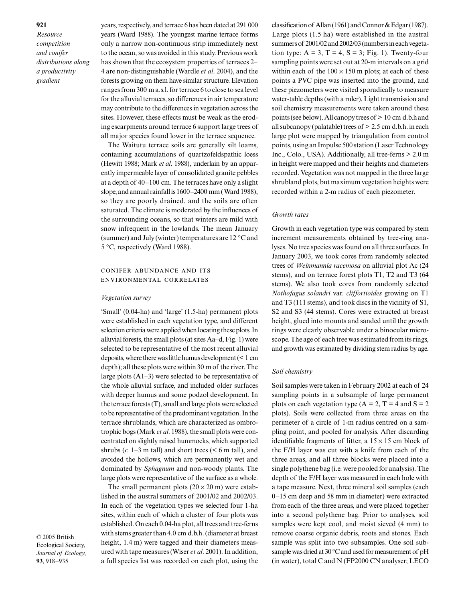*Resource competition and conifer distributions along a productivity gradient*

years, respectively, and terrace 6 has been dated at 291 000 years (Ward 1988). The youngest marine terrace forms only a narrow non-continuous strip immediately next to the ocean, so was avoided in this study. Previous work has shown that the ecosystem properties of terraces 2– 4 are non-distinguishable (Wardle *et al*. 2004), and the forests growing on them have similar structure. Elevation ranges from 300 m a.s.l. for terrace 6 to close to sea level for the alluvial terraces, so differences in air temperature may contribute to the differences in vegetation across the sites. However, these effects must be weak as the eroding escarpments around terrace 6 support large trees of all major species found lower in the terrace sequence.

The Waitutu terrace soils are generally silt loams, containing accumulations of quartzofeldspathic loess (Hewitt 1988; Mark *et al*. 1988), underlain by an apparently impermeable layer of consolidated granite pebbles at a depth of 40–100 cm. The terraces have only a slight slope, and annual rainfall is 1600–2400 mm (Ward 1988), so they are poorly drained, and the soils are often saturated. The climate is moderated by the influences of the surrounding oceans, so that winters are mild with snow infrequent in the lowlands. The mean January (summer) and July (winter) temperatures are 12 °C and 5 °C, respectively (Ward 1988).

## CONIFER ABUNDANCE AND ITS ENVIRONMENTAL CORRELATES

#### *Vegetation survey*

'Small' (0.04-ha) and 'large' (1.5-ha) permanent plots were established in each vegetation type, and different selection criteria were applied when locating these plots. In alluvial forests, the small plots (at sites Aa–d, Fig. 1) were selected to be representative of the most recent alluvial deposits, where there was little humus development (< 1 cm depth); all these plots were within 30 m of the river. The large plots  $(A1-3)$  were selected to be representative of the whole alluvial surface, and included older surfaces with deeper humus and some podzol development. In the terrace forests (T), small and large plots were selected to be representative of the predominant vegetation. In the terrace shrublands, which are characterized as ombrotrophic bogs (Mark *et al*. 1988), the small plots were concentrated on slightly raised hummocks, which supported shrubs  $(c. 1-3$  m tall) and short trees  $(< 6$  m tall), and avoided the hollows, which are permanently wet and dominated by *Sphagnum* and non-woody plants. The large plots were representative of the surface as a whole.

The small permanent plots  $(20 \times 20 \text{ m})$  were established in the austral summers of 2001/02 and 2002/03. In each of the vegetation types we selected four 1-ha sites, within each of which a cluster of four plots was established. On each 0.04-ha plot, all trees and tree-ferns with stems greater than 4.0 cm d.b.h. (diameter at breast height, 1.4 m) were tagged and their diameters measured with tape measures (Wiser *et al*. 2001). In addition, a full species list was recorded on each plot, using the

classification of Allan (1961) and Connor & Edgar (1987). Large plots (1.5 ha) were established in the austral summers of 2001/02 and 2002/03 (numbers in each vegetation type:  $A = 3$ ,  $T = 4$ ,  $S = 3$ ; Fig. 1). Twenty-four sampling points were set out at 20-m intervals on a grid within each of the  $100 \times 150$  m plots; at each of these points a PVC pipe was inserted into the ground, and these piezometers were visited sporadically to measure water-table depths (with a ruler). Light transmission and soil chemistry measurements were taken around these points (see below). All canopy trees of > 10 cm d.b.h and all subcanopy (palatable) trees of > 2.5 cm d.b.h. in each large plot were mapped by triangulation from control points, using an Impulse 500 station (Laser Technology Inc., Colo., USA). Additionally, all tree-ferns > 2.0 m in height were mapped and their heights and diameters recorded. Vegetation was not mapped in the three large shrubland plots, but maximum vegetation heights were recorded within a 2-m radius of each piezometer.

#### *Growth rates*

Growth in each vegetation type was compared by stem increment measurements obtained by tree-ring analyses. No tree species was found on all three surfaces. In January 2003, we took cores from randomly selected trees of *Weinmannia racemosa* on alluvial plot Ac (24 stems), and on terrace forest plots T1, T2 and T3 (64 stems). We also took cores from randomly selected *Nothofagus solandri* var. *cliffortioides* growing on T1 and T3 (111 stems), and took discs in the vicinity of S1, S2 and S3 (44 stems). Cores were extracted at breast height, glued into mounts and sanded until the growth rings were clearly observable under a binocular microscope. The age of each tree was estimated from its rings, and growth was estimated by dividing stem radius by age.

#### *Soil chemistry*

Soil samples were taken in February 2002 at each of 24 sampling points in a subsample of large permanent plots on each vegetation type  $(A = 2, T = 4$  and  $S = 2$ plots). Soils were collected from three areas on the perimeter of a circle of 1-m radius centred on a sampling point, and pooled for analysis. After discarding identifiable fragments of litter, a  $15 \times 15$  cm block of the F/H layer was cut with a knife from each of the three areas, and all three blocks were placed into a single polythene bag (i.e. were pooled for analysis). The depth of the F/H layer was measured in each hole with a tape measure. Next, three mineral soil samples (each 0–15 cm deep and 58 mm in diameter) were extracted from each of the three areas, and were placed together into a second polythene bag. Prior to analyses, soil samples were kept cool, and moist sieved (4 mm) to remove coarse organic debris, roots and stones. Each sample was split into two subsamples. One soil subsample was dried at 30 °C and used for measurement of pH (in water), total C and N (FP2000 CN analyser; LECO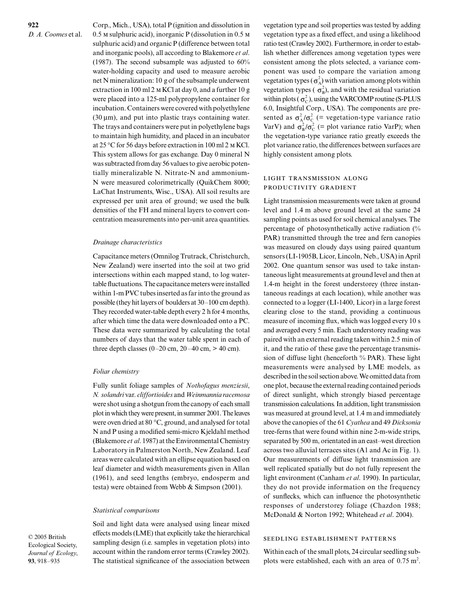Corp., Mich., USA), total P (ignition and dissolution in  $0.5$  M sulphuric acid), inorganic P (dissolution in  $0.5$  M sulphuric acid) and organic P (difference between total and inorganic pools), all according to Blakemore *et al*. (1987). The second subsample was adjusted to 60% water-holding capacity and used to measure aerobic net N mineralization: 10 g of the subsample underwent extraction in 100 ml  $2 \text{ m}$  KCl at day 0, and a further 10 g were placed into a 125-ml polypropylene container for incubation. Containers were covered with polyethylene  $(30 \,\mu m)$ , and put into plastic trays containing water. The trays and containers were put in polyethylene bags to maintain high humidity, and placed in an incubator at  $25^{\circ}$ C for 56 days before extraction in 100 ml 2 M KCl. This system allows for gas exchange. Day 0 mineral N was subtracted from day 56 values to give aerobic potentially mineralizable N. Nitrate-N and ammonium-N were measured colorimetrically (QuikChem 8000; LaChat Instruments, Wisc., USA). All soil results are expressed per unit area of ground; we used the bulk densities of the FH and mineral layers to convert concentration measurements into per-unit area quantities.

#### *Drainage characteristics*

Capacitance meters (Omnilog Trutrack, Christchurch, New Zealand) were inserted into the soil at two grid intersections within each mapped stand, to log watertable fluctuations. The capacitance meters were installed within 1-m PVC tubes inserted as far into the ground as possible (they hit layers of boulders at 30–100 cm depth). They recorded water-table depth every 2 h for 4 months, after which time the data were downloaded onto a PC. These data were summarized by calculating the total numbers of days that the water table spent in each of three depth classes  $(0-20 \text{ cm}, 20-40 \text{ cm}, > 40 \text{ cm})$ .

#### *Foliar chemistry*

Fully sunlit foliage samples of *Nothofagus menziesii*, *N. solandri* var. *cliffortioides* and *Weinmannia racemosa* were shot using a shotgun from the canopy of each small plot in which they were present, in summer 2001. The leaves were oven dried at 80 °C, ground, and analysed for total N and P using a modified semi-micro Kjeldahl method (Blakemore *et al*. 1987) at the Environmental Chemistry Laboratory in Palmerston North, New Zealand. Leaf areas were calculated with an ellipse equation based on leaf diameter and width measurements given in Allan (1961), and seed lengths (embryo, endosperm and testa) were obtained from Webb & Simpson (2001).

#### *Statistical comparisons*

Soil and light data were analysed using linear mixed effects models (LME) that explicitly take the hierarchical sampling design (i.e. samples in vegetation plots) into account within the random error terms (Crawley 2002). The statistical significance of the association between

vegetation type and soil properties was tested by adding vegetation type as a fixed effect, and using a likelihood ratio test (Crawley 2002). Furthermore, in order to establish whether differences among vegetation types were consistent among the plots selected, a variance component was used to compare the variation among vegetation types ( $\sigma_A^2$ ) with variation among plots within vegetation types ( $\sigma_B^2$ ), and with the residual variation within plots ( $\sigma_c^2$ ), using the VARCOMP routine (S-PLUS 6.0, Insightful Corp., USA). The components are presented as  $\sigma_A^2/\sigma_C^2$  (= vegetation-type variance ratio VarV) and  $\sigma_{B}^{2}/\sigma_{C}^{2}$  (= plot variance ratio VarP); when the vegetation-type variance ratio greatly exceeds the plot variance ratio, the differences between surfaces are highly consistent among plots.

## LIGHT TRANSMISSION ALONG PRODUCTIVITY GRADIENT

Light transmission measurements were taken at ground level and 1.4 m above ground level at the same 24 sampling points as used for soil chemical analyses. The percentage of photosynthetically active radiation (% PAR) transmitted through the tree and fern canopies was measured on cloudy days using paired quantum sensors (LI-1905B, Licor, Lincoln, Neb., USA) in April 2002. One quantum sensor was used to take instantaneous light measurements at ground level and then at 1.4-m height in the forest understorey (three instantaneous readings at each location), while another was connected to a logger (LI-1400, Licor) in a large forest clearing close to the stand, providing a continuous measure of incoming flux, which was logged every 10 s and averaged every 5 min. Each understorey reading was paired with an external reading taken within 2.5 min of it, and the ratio of these gave the percentage transmission of diffuse light (henceforth % PAR). These light measurements were analysed by LME models, as described in the soil section above. We omitted data from one plot, because the external reading contained periods of direct sunlight, which strongly biased percentage transmission calculations. In addition, light transmission was measured at ground level, at 1.4 m and immediately above the canopies of the 61 *Cyathea* and 49 *Dicksonia* tree-ferns that were found within nine 2-m-wide strips, separated by 500 m, orientated in an east–west direction across two alluvial terraces sites (A1 and Ac in Fig. 1). Our measurements of diffuse light transmission are well replicated spatially but do not fully represent the light environment (Canham *et al*. 1990). In particular, they do not provide information on the frequency of sunflecks, which can influence the photosynthetic responses of understorey foliage (Chazdon 1988; McDonald & Norton 1992; Whitehead *et al*. 2004).

#### SEEDLING ESTABLISHMENT PATTERNS

Within each of the small plots, 24 circular seedling subplots were established, each with an area of  $0.75 \text{ m}^2$ .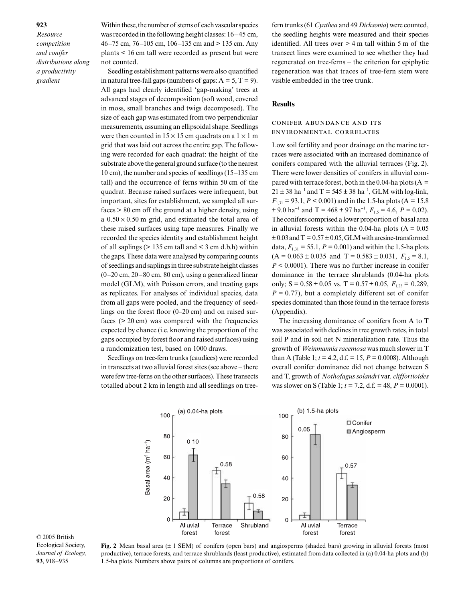*Resource competition and conifer distributions along a productivity gradient*

Within these, the number of stems of each vascular species was recorded in the following height classes: 16–45 cm, 46–75 cm, 76–105 cm, 106–135 cm and > 135 cm. Any plants < 16 cm tall were recorded as present but were not counted.

Seedling establishment patterns were also quantified in natural tree-fall gaps (numbers of gaps:  $A = 5, T = 9$ ). All gaps had clearly identified 'gap-making' trees at advanced stages of decomposition (soft wood, covered in moss, small branches and twigs decomposed). The size of each gap was estimated from two perpendicular measurements, assuming an ellipsoidal shape. Seedlings were then counted in  $15 \times 15$  cm quadrats on a  $1 \times 1$  m grid that was laid out across the entire gap. The following were recorded for each quadrat: the height of the substrate above the general ground surface (to the nearest 10 cm), the number and species of seedlings (15–135 cm tall) and the occurrence of ferns within 50 cm of the quadrat. Because raised surfaces were infrequent, but important, sites for establishment, we sampled all surfaces > 80 cm off the ground at a higher density, using a  $0.50 \times 0.50$  m grid, and estimated the total area of these raised surfaces using tape measures. Finally we recorded the species identity and establishment height of all saplings  $(> 135 \text{ cm tall}$  and  $< 3 \text{ cm d.b.h}$ ) within the gaps. These data were analysed by comparing counts of seedlings and saplings in three substrate height classes  $(0-20 \text{ cm}, 20-80 \text{ cm}, 80 \text{ cm})$ , using a generalized linear model (GLM), with Poisson errors, and treating gaps as replicates. For analyses of individual species, data from all gaps were pooled, and the frequency of seedlings on the forest floor (0–20 cm) and on raised surfaces (> 20 cm) was compared with the frequencies expected by chance (i.e. knowing the proportion of the gaps occupied by forest floor and raised surfaces) using a randomization test, based on 1000 draws.

Seedlings on tree-fern trunks (caudices) were recorded in transects at two alluvial forest sites (see above – there were few tree-ferns on the other surfaces). These transects totalled about 2 km in length and all seedlings on treefern trunks (61 *Cyathea* and 49 *Dicksonia*) were counted, the seedling heights were measured and their species identified. All trees over  $> 4$  m tall within 5 m of the transect lines were examined to see whether they had regenerated on tree-ferns – the criterion for epiphytic regeneration was that traces of tree-fern stem were visible embedded in the tree trunk.

## **Results**

## CONIFER ABUNDANCE AND ITS ENVIRONMENTAL CORRELATES

Low soil fertility and poor drainage on the marine terraces were associated with an increased dominance of conifers compared with the alluvial terraces (Fig. 2). There were lower densities of conifers in alluvial compared with terrace forest, both in the 0.04-ha plots ( $A =$  $21 \pm 38$  ha<sup>-1</sup> and T = 545  $\pm$  38 ha<sup>-1</sup>, GLM with log-link,  $F_{1,31} = 93.1, P < 0.001$ ) and in the 1.5-ha plots (A = 15.8)  $\pm$  9.0 ha<sup>-1</sup> and T = 468  $\pm$  97 ha<sup>-1</sup>,  $F_{1,5}$  = 4.6,  $P$  = 0.02). The conifers comprised a lower proportion of basal area in alluvial forests within the 0.04-ha plots  $(A = 0.05$  $\pm$  0.03 and T = 0.57  $\pm$  0.05, GLM with arcsine-transformed data,  $F_{1,31} = 55.1$ ,  $P = 0.001$ ) and within the 1.5-ha plots  $(A = 0.063 \pm 0.035 \text{ and } T = 0.583 \pm 0.031, F_{1.5} = 8.1,$ *P* < 0.0001). There was no further increase in conifer dominance in the terrace shrublands (0.04-ha plots only;  $S = 0.58 \pm 0.05$  vs.  $T = 0.57 \pm 0.05$ ,  $F_{1,23} = 0.289$ ,  $P = 0.77$ , but a completely different set of conifer species dominated than those found in the terrace forests (Appendix).

The increasing dominance of conifers from A to T was associated with declines in tree growth rates, in total soil P and in soil net N mineralization rate. Thus the growth of *Weinmannia racemosa* was much slower in T than A (Table 1;  $t = 4.2$ , d.f. = 15,  $P = 0.0008$ ). Although overall conifer dominance did not change between S and T, growth of *Nothofagus solandri* var. *cliffortioides* was slower on S (Table 1; *t* = 7.2, d.f. = 48, *P* = 0.0001).



**Fig. 2** Mean basal area (± 1 SEM) of conifers (open bars) and angiosperms (shaded bars) growing in alluvial forests (most productive), terrace forests, and terrace shrublands (least productive), estimated from data collected in (a) 0.04-ha plots and (b) 1.5-ha plots. Numbers above pairs of columns are proportions of conifers.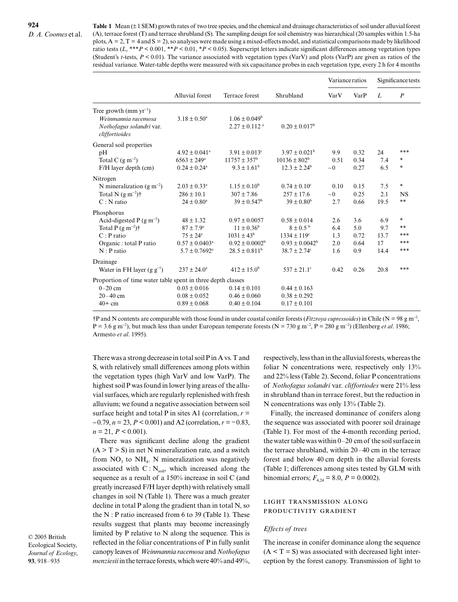**Table 1** Mean (± 1 SEM) growth rates of two tree species, and the chemical and drainage characteristics of soil under alluvial forest (A), terrace forest (T) and terrace shrubland (S). The sampling design for soil chemistry was hierarchical (20 samples within 1.5-ha plots,  $A = 2$ ,  $T = 4$  and  $S = 2$ ), so analyses were made using a mixed-effects model, and statistical comparisons made by likelihood ratio tests  $(L, **P < 0.001, **P < 0.01, *P < 0.05)$ . Superscript letters indicate significant differences among vegetation types (Student's *t*-tests, *P* < 0.01). The variance associated with vegetation types (VarV) and plots (VarP) are given as ratios of the residual variance. Water-table depths were measured with six capacitance probes in each vegetation type, every 2 h for 4 months

|                                                                                                                                                 |                                                                                                                            |                                                                                                      |                                                                                                                       | Variance ratios                 |                                   | Significance tests               |                                   |
|-------------------------------------------------------------------------------------------------------------------------------------------------|----------------------------------------------------------------------------------------------------------------------------|------------------------------------------------------------------------------------------------------|-----------------------------------------------------------------------------------------------------------------------|---------------------------------|-----------------------------------|----------------------------------|-----------------------------------|
|                                                                                                                                                 | Alluvial forest                                                                                                            | Terrace forest                                                                                       | Shrubland                                                                                                             | VarV                            | VarP                              | L                                | $\boldsymbol{P}$                  |
| Tree growth (mm $yr^{-1}$ )<br>Weinmannia racemosa<br>Nothofagus solandri var.<br>cliffortioides                                                | $3.18 \pm 0.50^a$                                                                                                          | $1.06 \pm 0.049^b$<br>$2.27 \pm 0.112$ <sup>a</sup>                                                  | $0.20 \pm 0.017^b$                                                                                                    |                                 |                                   |                                  |                                   |
| General soil properties<br>pH<br>Total C $(g m^{-2})$<br>F/H layer depth (cm)                                                                   | $4.92 \pm 0.041$ <sup>a</sup><br>$6563 \pm 249^{\rm a}$<br>$0.24 \pm 0.24$ <sup>a</sup>                                    | $3.91 \pm 0.013$ <sup>c</sup><br>$11757 \pm 357^{\rm b}$<br>$9.3 \pm 1.61^b$                         | $3.97 \pm 0.021^{\circ}$<br>$10136 \pm 802^b$<br>$12.3 \pm 2.24$ <sup>b</sup>                                         | 9.9<br>0.51<br>$\sim$ 0         | 0.32<br>0.34<br>0.27              | 24<br>7.4<br>6.5                 | ***<br>$\ast$<br>$\ast$           |
| Nitrogen<br>N mineralization (g m <sup>-2</sup> )<br>Total N $(g m^{-2})\dagger$<br>$C: N$ ratio                                                | $2.03 \pm 0.33^a$<br>$286 \pm 10.1$<br>$24 \pm 0.80^{\circ}$                                                               | $1.15 \pm 0.10^b$<br>$307 \pm 7.86$<br>$39 \pm 0.547^{\rm b}$                                        | $0.74 \pm 0.10^{\circ}$<br>$257 \pm 17.6$<br>$39 \pm 0.80^{\rm b}$                                                    | 0.10<br>$\sim 0$<br>2.7         | 0.15<br>0.25<br>0.66              | 7.5<br>2.1<br>19.5               | $\ast$<br><b>NS</b><br>**         |
| Phosphorus<br>Acid-digested $P$ (g m <sup>-2</sup> )<br>Total P $(g m^{-2})\dagger$<br>$C: P$ ratio<br>Organic : total P ratio<br>$N : P$ ratio | $48 \pm 1.32$<br>$87 \pm 7.9^{\circ}$<br>$75 \pm 24^{\circ}$<br>$0.57 \pm 0.0403^{\circ}$<br>$5.7 \pm 0.7692$ <sup>a</sup> | $0.97 \pm 0.0057$<br>$11 \pm 0.36^b$<br>$1031 \pm 43^b$<br>$0.92 \pm 0.0002^b$<br>$28.5 \pm 0.811^b$ | $0.58 \pm 0.014$<br>$8\pm0.5^{\mathrm{b}}$<br>$1334 \pm 119$ <sup>c</sup><br>$0.93 \pm 0.0042^b$<br>$38.7 \pm 2.74$ c | 2.6<br>6.4<br>1.3<br>2.0<br>1.6 | 3.6<br>5.0<br>0.72<br>0.64<br>0.9 | 6.9<br>9.7<br>13.7<br>17<br>14.4 | $\ast$<br>**<br>***<br>***<br>*** |
| Drainage<br>Water in FH layer $(g g^{-1})$                                                                                                      | $237 \pm 24.0^{\circ}$                                                                                                     | $412 \pm 15.0^b$                                                                                     | $537 \pm 21.1$ °                                                                                                      | 0.42                            | 0.26                              | 20.8                             | ***                               |
| Proportion of time water table spent in three depth classes<br>$0 - 20$ cm<br>$20 - 40$ cm<br>$40+$ cm                                          | $0.03 \pm 0.016$<br>$0.08 \pm 0.052$<br>$0.89 \pm 0.068$                                                                   | $0.14 \pm 0.101$<br>$0.46 \pm 0.060$<br>$0.40 \pm 0.104$                                             | $0.44 \pm 0.163$<br>$0.38 \pm 0.292$<br>$0.17 \pm 0.101$                                                              |                                 |                                   |                                  |                                   |

†P and N contents are comparable with those found in under coastal conifer forests (*Fitzroya cupressoides*) in Chile (N = 98 g m<sup>−</sup><sup>2</sup> , P = 3.6 g m<sup>-2</sup>), but much less than under European temperate forests (N = 730 g m<sup>-2</sup>, P = 280 g m<sup>-2</sup>) (Ellenberg *et al.* 1986; Armesto *et al*. 1995).

There was a strong decrease in total soil P in A vs. T and S, with relatively small differences among plots within the vegetation types (high VarV and low VarP). The highest soil P was found in lower lying areas of the alluvial surfaces, which are regularly replenished with fresh alluvium; we found a negative association between soil surface height and total P in sites A1 (correlation,  $r =$ −0.79, *n* = 23, *P <* 0.001) and A2 (correlation, *r* = −0.83,  $n = 21, P < 0.001$ .

There was significant decline along the gradient  $(A > T > S)$  in net N mineralization rate, and a switch from  $NO_3$  to  $NH_4$ . N mineralization was negatively associated with  $C: N_{\text{sol}}$ , which increased along the sequence as a result of a 150% increase in soil C (and greatly increased F/H layer depth) with relatively small changes in soil N (Table 1). There was a much greater decline in total P along the gradient than in total N, so the  $N : P$  ratio increased from 6 to 39 (Table 1). These results suggest that plants may become increasingly limited by P relative to N along the sequence. This is reflected in the foliar concentrations of P in fully sunlit canopy leaves of *Weinmannia racemosa* and *Nothofagus menziesii* in the terrace forests, which were 40% and 49%, respectively, less than in the alluvial forests, whereas the foliar N concentrations were, respectively only  $13\%$ and 22% less (Table 2). Second, foliar P concentrations of *Nothofagus solandri* var. *cliffortiodes* were 21% less in shrubland than in terrace forest, but the reduction in N concentrations was only 13% (Table 2).

Finally, the increased dominance of conifers along the sequence was associated with poorer soil drainage (Table 1). For most of the 4-month recording period, the water table was within 0–20 cm of the soil surface in the terrace shrubland, within 20–40 cm in the terrace forest and below 40 cm depth in the alluvial forests (Table 1; differences among sites tested by GLM with binomial errors;  $F_{4,24} = 8.0$ ,  $P = 0.0002$ ).

## LIGHT TRANSMISSION ALONG PRODUCTIVITY GRADIENT

## *Effects of trees*

The increase in conifer dominance along the sequence  $(A < T = S)$  was associated with decreased light interception by the forest canopy. Transmission of light to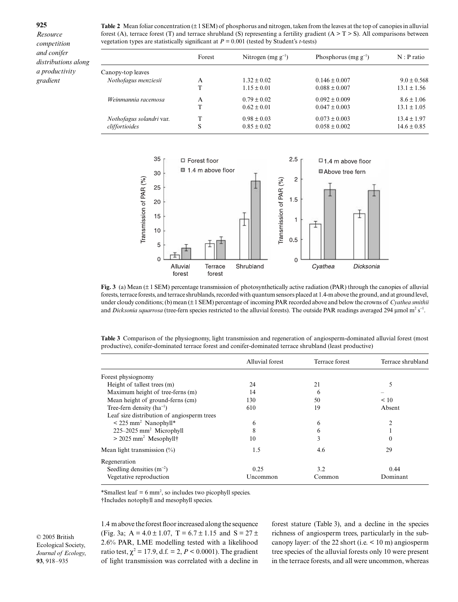*Resource competition and conifer distributions along a productivity gradient*

Table 2 Mean foliar concentration ( $\pm 1$  SEM) of phosphorus and nitrogen, taken from the leaves at the top of canopies in alluvial forest (A), terrace forest (T) and terrace shrubland (S) representing a fertility gradient ( $A > T > S$ ). All comparisons between vegetation types are statistically significant at *P =* 0.001 (tested by Student's *t*-tests)

|                                            | Forest | Nitrogen (mg $g^{-1}$ )            | Phosphorus (mg $g^{-1}$ )              | $N : P$ ratio                      |
|--------------------------------------------|--------|------------------------------------|----------------------------------------|------------------------------------|
| Canopy-top leaves                          |        |                                    |                                        |                                    |
| Nothofagus menziesii                       | A      | $1.32 \pm 0.02$                    | $0.146 \pm 0.007$                      | $9.0 \pm 0.568$                    |
|                                            |        | $1.15 \pm 0.01$                    | $0.088 \pm 0.007$                      | $13.1 \pm 1.56$                    |
| Weinmannia racemosa                        | A      | $0.79 \pm 0.02$                    | $0.092 \pm 0.009$                      | $8.6 \pm 1.06$                     |
|                                            | т      | $0.62 \pm 0.01$                    | $0.047 \pm 0.003$                      | $13.1 \pm 1.05$                    |
| Nothofagus solandri var.<br>cliffortioides | S      | $0.98 \pm 0.03$<br>$0.85 \pm 0.02$ | $0.073 \pm 0.003$<br>$0.058 \pm 0.002$ | $13.4 \pm 1.97$<br>$14.6 \pm 0.85$ |



**Fig. 3** (a) Mean (± 1 SEM) percentage transmission of photosynthetically active radiation (PAR) through the canopies of alluvial forests, terrace forests, and terrace shrublands, recorded with quantum sensors placed at 1.4-m above the ground, and at ground level, under cloudy conditions; (b) mean (± 1 SEM) percentage of incoming PAR recorded above and below the crowns of *Cyathea smithii* and *Dicksonia squarrosa* (tree-fern species restricted to the alluvial forests). The outside PAR readings averaged 294 µmol m<sup>2</sup> s<sup>−1</sup>.

**Table 3** Comparison of the physiognomy, light transmission and regeneration of angiosperm-dominated alluvial forest (most productive), conifer-dominated terrace forest and conifer-dominated terrace shrubland (least productive)

|                                                 | Alluvial forest | Terrace forest | Terrace shrubland |
|-------------------------------------------------|-----------------|----------------|-------------------|
| Forest physiognomy                              |                 |                |                   |
| Height of tallest trees (m)                     | 24              | 21             |                   |
| Maximum height of tree-ferns (m)                | 14              | 6              |                   |
| Mean height of ground-ferns (cm)                | 130             | 50             | < 10              |
| Tree-fern density $(ha^{-1})$                   | 610             | 19             | Absent            |
| Leaf size distribution of angiosperm trees      |                 |                |                   |
| $\leq$ 225 mm <sup>2</sup> Nanophyll*           | 6               | 6              | 2                 |
| $225-2025$ mm <sup>2</sup> Microphyll           | 8               | 6              |                   |
| $>$ 2025 mm <sup>2</sup> Mesophyll <sup>†</sup> | 10              | 3              | $\theta$          |
| Mean light transmission $(\%)$                  | 1.5             | 4.6            | 29                |
| Regeneration                                    |                 |                |                   |
| Seedling densities $(m^{-2})$                   | 0.25            | 3.2            | 0.44              |
| Vegetative reproduction                         | Uncommon        | Common         | Dominant          |

\*Smallest leaf  $= 6$  mm<sup>2</sup>, so includes two picophyll species.

†Includes notophyll and mesophyll species.

© 2005 British Ecological Society, *Journal of Ecology*, **93**, 918–935

1.4 m above the forest floor increased along the sequence (Fig. 3a;  $A = 4.0 \pm 1.07$ ,  $T = 6.7 \pm 1.15$  and  $S = 27 \pm 1.15$ 2.6% PAR, LME modelling tested with a likelihood ratio test,  $\chi^2 = 17.9$ , d.f. = 2, *P* < 0.0001). The gradient of light transmission was correlated with a decline in

forest stature (Table 3), and a decline in the species richness of angiosperm trees, particularly in the subcanopy layer: of the 22 short (i.e. < 10 m) angiosperm tree species of the alluvial forests only 10 were present in the terrace forests, and all were uncommon, whereas

#### **925**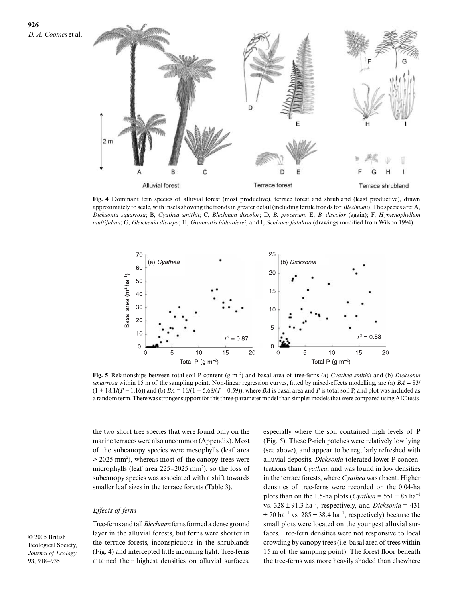



**Fig. 4** Dominant fern species of alluvial forest (most productive), terrace forest and shrubland (least productive), drawn approximately to scale, with insets showing the fronds in greater detail (including fertile fronds for *Blechnum*). The species are: A, *Dicksonia squarrosa*; B, *Cyathea smithii*; C, *Blechnum discolor*; D, *B. procerum*; E, *B. discolor* (again); F, *Hymenophyllum multifidum*; G, *Gleichenia dicarpa*; H, *Grammitis billardierei*; and I, *Schizaea fistulosa* (drawings modified from Wilson 1994).



**Fig. 5** Relationships between total soil P content (g m<sup>−</sup><sup>2</sup> ) and basal area of tree-ferns (a) *Cyathea smithii* and (b) *Dicksonia squarrosa* within 15 m of the sampling point. Non-linear regression curves, fitted by mixed-effects modelling, are (a) *BA* = 83/ (1 + 18.1/(*P* − 1.16)) and (b) *BA* = 16/(1 + 5.68/(*P* – 0.59)), where *BA* is basal area and *P* is total soil P, and plot was included as a random term. There was stronger support for this three-parameter model than simpler models that were compared using AIC tests.

the two short tree species that were found only on the marine terraces were also uncommon (Appendix). Most of the subcanopy species were mesophylls (leaf area  $>$  2025 mm<sup>2</sup>), whereas most of the canopy trees were microphylls (leaf area  $225-2025$  mm<sup>2</sup>), so the loss of subcanopy species was associated with a shift towards smaller leaf sizes in the terrace forests (Table 3).

## *Effects of ferns*

© 2005 British Ecological Society, *Journal of Ecology*, **93**, 918–935

Tree-ferns and tall *Blechnum*ferns formed a dense ground layer in the alluvial forests, but ferns were shorter in the terrace forests, inconspicuous in the shrublands (Fig. 4) and intercepted little incoming light. Tree-ferns attained their highest densities on alluvial surfaces, especially where the soil contained high levels of P (Fig. 5). These P-rich patches were relatively low lying (see above), and appear to be regularly refreshed with alluvial deposits. *Dicksonia* tolerated lower P concentrations than *Cyathea*, and was found in low densities in the terrace forests, where *Cyathea* was absent. Higher densities of tree-ferns were recorded on the 0.04-ha plots than on the 1.5-ha plots (*Cyathea* =  $551 \pm 85$  ha<sup>-1</sup> vs.  $328 \pm 91.3$  ha<sup>-1</sup>, respectively, and *Dicksonia* = 431  $\pm$  70 ha<sup>-1</sup> vs. 285  $\pm$  38.4 ha<sup>-1</sup>, respectively) because the small plots were located on the youngest alluvial surfaces. Tree-fern densities were not responsive to local crowding by canopy trees (i.e. basal area of trees within 15 m of the sampling point). The forest floor beneath the tree-ferns was more heavily shaded than elsewhere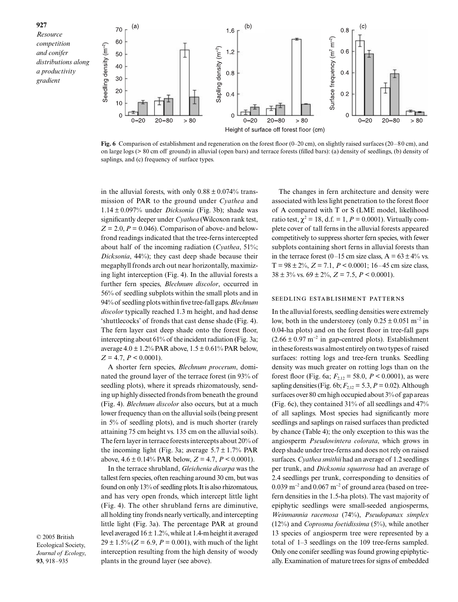

**Fig. 6** Comparison of establishment and regeneration on the forest floor (0–20 cm), on slightly raised surfaces (20–80 cm), and on large logs (> 80 cm off ground) in alluvial (open bars) and terrace forests (filled bars): (a) density of seedlings, (b) density of saplings, and (c) frequency of surface types.

in the alluvial forests, with only  $0.88 \pm 0.074\%$  transmission of PAR to the ground under *Cyathea* and 1.14 ± 0.097% under *Dicksonia* (Fig. 3b); shade was significantly deeper under *Cyathea* (Wilcoxon rank test,  $Z = 2.0$ ,  $P = 0.046$ ). Comparison of above- and belowfrond readings indicated that the tree-ferns intercepted about half of the incoming radiation (*Cyathea*, 51%; *Dicksonia*, 44%); they cast deep shade because their megaphyll fronds arch out near horizontally, maximizing light interception (Fig. 4). In the alluvial forests a further fern species, *Blechnum discolor*, occurred in 56% of seedling subplots within the small plots and in 94% of seedling plots within five tree-fall gaps. *Blechnum discolor* typically reached 1.3 m height, and had dense 'shuttlecocks' of fronds that cast dense shade (Fig. 4). The fern layer cast deep shade onto the forest floor, intercepting about 61% of the incident radiation (Fig. 3a; average  $4.0 \pm 1.2\%$  PAR above,  $1.5 \pm 0.61\%$  PAR below, *Z* = 4.7, *P* < 0.0001).

A shorter fern species, *Blechnum procerum*, dominated the ground layer of the terrace forest (in 93% of seedling plots), where it spreads rhizomatously, sending up highly dissected fronds from beneath the ground (Fig. 4). *Blechnum discolor* also occurs, but at a much lower frequency than on the alluvial soils (being present in 5% of seedling plots), and is much shorter (rarely attaining 75 cm height vs. 135 cm on the alluvial soils). The fern layer in terrace forests intercepts about 20% of the incoming light (Fig. 3a; average  $5.7 \pm 1.7\%$  PAR above,  $4.6 \pm 0.14\%$  PAR below,  $Z = 4.7$ ,  $P < 0.0001$ ).

In the terrace shrubland, *Gleichenia dicarpa* was the tallest fern species, often reaching around 30 cm, but was found on only 13% of seedling plots. It is also rhizomatous, and has very open fronds, which intercept little light (Fig. 4). The other shrubland ferns are diminutive, all holding tiny fronds nearly vertically, and intercepting little light (Fig. 3a). The percentage PAR at ground level averaged  $16 \pm 1.2$ %, while at 1.4-m height it averaged  $29 \pm 1.5\%$  ( $Z = 6.9$ ,  $P = 0.001$ ), with much of the light interception resulting from the high density of woody plants in the ground layer (see above).

© 2005 British Ecological Society, *Journal of Ecology*, **93**, 918–935

The changes in fern architecture and density were associated with less light penetration to the forest floor of A compared with T or S (LME model, likelihood ratio test,  $\chi^2 = 18$ , d.f. = 1, *P* = 0.0001). Virtually complete cover of tall ferns in the alluvial forests appeared competitively to suppress shorter fern species, with fewer subplots containing short ferns in alluvial forests than in the terrace forest (0–15 cm size class,  $A = 63 \pm 4\%$  vs.  $T = 98 \pm 2\%, Z = 7.1, P < 0.0001; 16-45 \text{ cm size class,}$  $38 \pm 3\%$  vs.  $69 \pm 2\%$ ,  $Z = 7.5$ ,  $P < 0.0001$ ).

## SEEDLING ESTABLISHMENT PATTERNS

In the alluvial forests, seedling densities were extremely low, both in the understorey (only  $0.25 \pm 0.051$  m<sup>-2</sup> in 0.04-ha plots) and on the forest floor in tree-fall gaps  $(2.66 \pm 0.97 \text{ m}^{-2} \text{ in gap-centred plots})$ . Establishment in these forests was almost entirely on two types of raised surfaces: rotting logs and tree-fern trunks. Seedling density was much greater on rotting logs than on the forest floor (Fig. 6a;  $F_{2,12} = 58.0$ ,  $P < 0.0001$ ), as were sapling densities (Fig. 6b;  $F_{2,12} = 5.3$ ,  $P = 0.02$ ). Although surfaces over 80 cm high occupied about 3% of gap areas (Fig. 6c), they contained 31% of all seedlings and 47% of all saplings. Most species had significantly more seedlings and saplings on raised surfaces than predicted by chance (Table 4); the only exception to this was the angiosperm *Pseudowintera colorata*, which grows in deep shade under tree-ferns and does not rely on raised surfaces. *Cyathea smithii* had an average of 1.2 seedlings per trunk, and *Dicksonia squarrosa* had an average of 2.4 seedlings per trunk, corresponding to densities of 0.039 m<sup>−</sup><sup>2</sup> and 0.067 m<sup>−</sup><sup>2</sup> of ground area (based on treefern densities in the 1.5-ha plots). The vast majority of epiphytic seedlings were small-seeded angiosperms, *Weinmannia racemosa* (74%), *Pseudopanax simplex* (12%) and *Coprosma foetidissima* (5%), while another 13 species of angiosperm tree were represented by a total of 1–3 seedlings on the 109 tree-ferns sampled. Only one conifer seedling was found growing epiphytically. Examination of mature trees for signs of embedded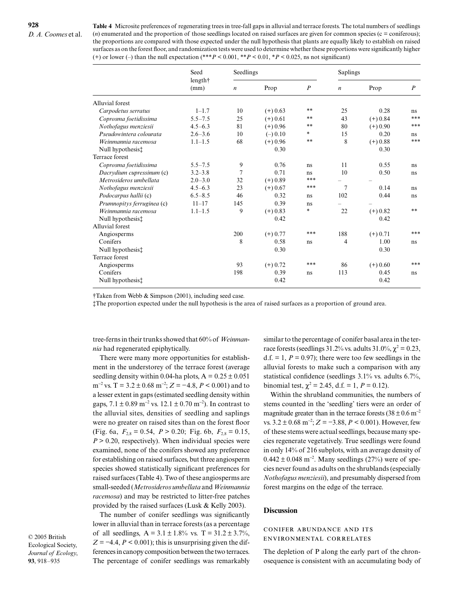**Table 4** Microsite preferences of regenerating trees in tree-fall gaps in alluvial and terrace forests. The total numbers of seedlings (*n*) enumerated and the proportion of those seedlings located on raised surfaces are given for common species (c = coniferous); the proportions are compared with those expected under the null hypothesis that plants are equally likely to establish on raised surfaces as on the forest floor, and randomization tests were used to determine whether these proportions were significantly higher (+) or lower (–) than the null expectation (\*\*\**P* < 0.001, \*\**P* < 0.01, \**P* < 0.025, ns not significant)

|                            | Seed<br>length†<br>(mm) | Seedlings        |            |                  | Saplings         |            |                  |  |
|----------------------------|-------------------------|------------------|------------|------------------|------------------|------------|------------------|--|
|                            |                         | $\boldsymbol{n}$ | Prop       | $\boldsymbol{P}$ | $\boldsymbol{n}$ | Prop       | $\boldsymbol{P}$ |  |
| Alluvial forest            |                         |                  |            |                  |                  |            |                  |  |
| Carpodetus serratus        | $1 - 1.7$               | 10               | $(+) 0.63$ | **               | 25               | 0.28       | ns               |  |
| Coprosma foetidissima      | $5.5 - 7.5$             | 25               | $(+) 0.61$ | **               | 43               | $(+) 0.84$ | ***              |  |
| Nothofagus menziesii       | $4.5 - 6.3$             | 81               | $(+) 0.96$ | **               | 80               | $(+) 0.90$ | ***              |  |
| Pseudowintera colourata    | $2.6 - 3.6$             | 10               | $(-) 0.10$ | *                | 15               | 0.20       | ns               |  |
| Weinmannia racemosa        | $1.1 - 1.5$             | 68               | $(+) 0.96$ | **               | 8                | $(+) 0.88$ | ***              |  |
| Null hypothesis‡           |                         |                  | 0.30       |                  |                  | 0.30       |                  |  |
| Terrace forest             |                         |                  |            |                  |                  |            |                  |  |
| Coprosma foetidissima      | $5.5 - 7.5$             | 9                | 0.76       | ns               | 11               | 0.55       | ns               |  |
| Dacrydium cupressinum (c)  | $3.2 - 3.8$             | 7                | 0.71       | ns               | 10               | 0.50       | ns               |  |
| Metrosideros umbellata     | $2.0 - 3.0$             | 32               | $(+) 0.89$ | ***              |                  |            |                  |  |
| Nothofagus menziesii       | $4.5 - 6.3$             | 23               | $(+) 0.67$ | ***              | $\overline{7}$   | 0.14       | ns               |  |
| Podocarpus hallii (c)      | $6.5 - 8.5$             | 46               | 0.32       | ns               | 102              | 0.44       | ns               |  |
| Prumnopitys ferruginea (c) | $11 - 17$               | 145              | 0.39       | ns               |                  |            |                  |  |
| Weinmannia racemosa        | $1.1 - 1.5$             | 9                | $(+) 0.83$ | $*$              | 22               | $(+) 0.82$ | $**$             |  |
| Null hypothesist           |                         |                  | 0.42       |                  |                  | 0.42       |                  |  |
| Alluvial forest            |                         |                  |            |                  |                  |            |                  |  |
| Angiosperms                |                         | 200              | $(+)$ 0.77 | ***              | 188              | $(+) 0.71$ | ***              |  |
| Conifers                   |                         | 8                | 0.58       | ns               | 4                | 1.00       | ns               |  |
| Null hypothesis:           |                         |                  | 0.30       |                  |                  | 0.30       |                  |  |
| Terrace forest             |                         |                  |            |                  |                  |            |                  |  |
| Angiosperms                |                         | 93               | $(+) 0.72$ | ***              | 86               | $(+) 0.60$ | ***              |  |
| Conifers                   |                         | 198              | 0.39       | ns               | 113              | 0.45       | ns               |  |
| Null hypothesis:           |                         |                  | 0.42       |                  |                  | 0.42       |                  |  |

†Taken from Webb & Simpson (2001), including seed case.

‡The proportion expected under the null hypothesis is the area of raised surfaces as a proportion of ground area.

tree-ferns in their trunks showed that 60% of *Weinmannia* had regenerated epiphytically.

There were many more opportunities for establishment in the understorey of the terrace forest (average seedling density within 0.04-ha plots,  $A = 0.25 \pm 0.051$ m<sup>−</sup><sup>2</sup> vs. T = 3.2 ± 0.68 m<sup>−</sup><sup>2</sup> ; *Z* = −4.8, *P* < 0.001) and to a lesser extent in gaps (estimated seedling density within gaps,  $7.1 \pm 0.89$  m<sup>-2</sup> vs.  $12.1 \pm 0.70$  m<sup>-2</sup>). In contrast to the alluvial sites, densities of seedling and saplings were no greater on raised sites than on the forest floor (Fig. 6a,  $F_{2,8} = 0.54$ ,  $P > 0.20$ ; Fig. 6b,  $F_{2,8} = 0.15$ ,  $P > 0.20$ , respectively). When individual species were examined, none of the conifers showed any preference for establishing on raised surfaces, but three angiosperm species showed statistically significant preferences for raised surfaces (Table 4). Two of these angiosperms are small-seeded (*Metrosideros umbellata* and *Weinmannia racemosa*) and may be restricted to litter-free patches provided by the raised surfaces (Lusk & Kelly 2003).

© 2005 British Ecological Society, *Journal of Ecology*, **93**, 918–935

The number of conifer seedlings was significantly lower in alluvial than in terrace forests (as a percentage of all seedlings,  $A = 3.1 \pm 1.8\%$  vs. T = 31.2  $\pm$  3.7%,  $Z = -4.4$ ,  $P < 0.001$ ); this is unsurprising given the differences in canopy composition between the two terraces. The percentage of conifer seedlings was remarkably

similar to the percentage of conifer basal area in the terrace forests (seedlings 31.2% vs. adults 31.0%,  $\chi^2 = 0.23$ , d.f.  $= 1, P = 0.97$ ; there were too few seedlings in the alluvial forests to make such a comparison with any statistical confidence (seedlings 3.1% vs. adults 6.7%, binomial test,  $\chi^2 = 2.45$ , d.f. = 1,  $P = 0.12$ ).

Within the shrubland communities, the numbers of stems counted in the 'seedling' tiers were an order of magnitude greater than in the terrace forests (38 ± 0.6 m<sup>-2</sup> vs.  $3.2 \pm 0.68$  m<sup>-2</sup>;  $Z = -3.88$ ,  $P < 0.001$ ). However, few of these stems were actual seedlings, because many species regenerate vegetatively. True seedlings were found in only 14% of 216 subplots, with an average density of  $0.442 \pm 0.048$  m<sup>-2</sup>. Many seedlings (27%) were of species never found as adults on the shrublands (especially *Nothofagus menziesii*), and presumably dispersed from forest margins on the edge of the terrace.

#### **Discussion**

## CONIFER ABUNDANCE AND ITS ENVIRONMENTAL CORRELATES

The depletion of P along the early part of the chronosequence is consistent with an accumulating body of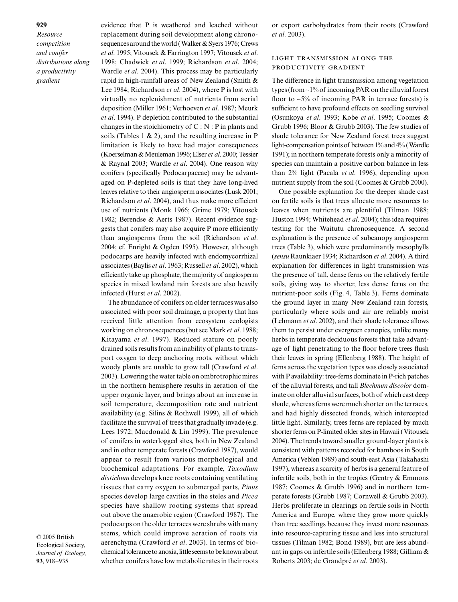*Resource competition and conifer distributions along a productivity gradient*

evidence that P is weathered and leached without replacement during soil development along chronosequences around the world (Walker & Syers 1976; Crews *et al*. 1995; Vitousek & Farrington 1997; Vitousek *et al*. 1998; Chadwick *et al*. 1999; Richardson *et al*. 2004; Wardle *et al*. 2004). This process may be particularly rapid in high-rainfall areas of New Zealand (Smith & Lee 1984; Richardson *et al*. 2004), where P is lost with virtually no replenishment of nutrients from aerial deposition (Miller 1961; Verhoeven *et al*. 1987; Meurk *et al*. 1994). P depletion contributed to the substantial changes in the stoichiometry of  $C : N : P$  in plants and soils (Tables 1  $\&$  2), and the resulting increase in P limitation is likely to have had major consequences (Koerselman & Meuleman 1996; Elser *et al*. 2000; Tessier & Raynal 2003; Wardle *et al*. 2004). One reason why conifers (specifically Podocarpaceae) may be advantaged on P-depleted soils is that they have long-lived leaves relative to their angiosperm associates (Lusk 2001; Richardson *et al*. 2004), and thus make more efficient use of nutrients (Monk 1966; Grime 1979; Vitousek 1982; Berendse & Aerts 1987). Recent evidence suggests that conifers may also acquire P more efficiently than angiosperms from the soil (Richardson *et al*. 2004; cf. Enright & Ogden 1995). However, although podocarps are heavily infected with endomycorrhizal associates (Baylis *et al*. 1963; Russell *et al*. 2002), which efficiently take up phosphate, the majority of angiosperm species in mixed lowland rain forests are also heavily infected (Hurst *et al*. 2002).

The abundance of conifers on older terraces was also associated with poor soil drainage, a property that has received little attention from ecosystem ecologists working on chronosequences (but see Mark *et al*. 1988; Kitayama *et al*. 1997). Reduced stature on poorly drained soils results from an inability of plants to transport oxygen to deep anchoring roots, without which woody plants are unable to grow tall (Crawford *et al*. 2003). Lowering the water table on ombrotrophic mires in the northern hemisphere results in aeration of the upper organic layer, and brings about an increase in soil temperature, decomposition rate and nutrient availability (e.g. Silins & Rothwell 1999), all of which facilitate the survival of trees that gradually invade (e.g. Lees 1972; Macdonald & Lin 1999). The prevalence of conifers in waterlogged sites, both in New Zealand and in other temperate forests (Crawford 1987), would appear to result from various morphological and biochemical adaptations. For example, *Taxodium distichum* develops knee roots containing ventilating tissues that carry oxygen to submerged parts, *Pinus* species develop large cavities in the steles and *Picea* species have shallow rooting systems that spread out above the anaerobic region (Crawford 1987). The podocarps on the older terraces were shrubs with many stems, which could improve aeration of roots via aerenchyma (Crawford *et al*. 2003). In terms of biochemical tolerance to anoxia, little seems to be known about whether conifers have low metabolic rates in their roots

© 2005 British Ecological Society, *Journal of Ecology*, **93**, 918–935

or export carbohydrates from their roots (Crawford *et al*. 2003).

## LIGHT TRANSMISSION ALONG THE PRODUCTIVITY GRADIENT

The difference in light transmission among vegetation types (from ∼1% of incoming PAR on the alluvial forest floor to ∼5% of incoming PAR in terrace forests) is sufficient to have profound effects on seedling survival (Osunkoya *et al*. 1993; Kobe *et al*. 1995; Coomes & Grubb 1996; Bloor & Grubb 2003). The few studies of shade tolerance for New Zealand forest trees suggest light-compensation points of between 1% and 4% (Wardle 1991); in northern temperate forests only a minority of species can maintain a positive carbon balance in less than 2% light (Pacala *et al*. 1996), depending upon nutrient supply from the soil (Coomes & Grubb 2000).

One possible explanation for the deeper shade cast on fertile soils is that trees allocate more resources to leaves when nutrients are plentiful (Tilman 1988; Huston 1994; Whitehead *et al*. 2004); this idea requires testing for the Waitutu chronosequence. A second explanation is the presence of subcanopy angiosperm trees (Table 3), which were predominantly mesophylls (*sensu* Raunkiaer 1934; Richardson *et al*. 2004). A third explanation for differences in light transmission was the presence of tall, dense ferns on the relatively fertile soils, giving way to shorter, less dense ferns on the nutrient-poor soils (Fig. 4, Table 3). Ferns dominate the ground layer in many New Zealand rain forests, particularly where soils and air are reliably moist (Lehmann *et al*. 2002), and their shade tolerance allows them to persist under evergreen canopies, unlike many herbs in temperate deciduous forests that take advantage of light penetrating to the floor before trees flush their leaves in spring (Ellenberg 1988). The height of ferns across the vegetation types was closely associated with P availability: tree-ferns dominate in P-rich patches of the alluvial forests, and tall *Blechnum discolor* dominate on older alluvial surfaces, both of which cast deep shade, whereas ferns were much shorter on the terraces, and had highly dissected fronds, which intercepted little light. Similarly, trees ferns are replaced by much shorter ferns on P-limited older sites in Hawaii (Vitousek 2004). The trends toward smaller ground-layer plants is consistent with patterns recorded for bamboos in South America (Veblen 1989) and south-east Asia (Takahashi 1997), whereas a scarcity of herbs is a general feature of infertile soils, both in the tropics (Gentry & Emmons 1987; Coomes & Grubb 1996) and in northern temperate forests (Grubb 1987; Cornwell & Grubb 2003). Herbs proliferate in clearings on fertile soils in North America and Europe, where they grow more quickly than tree seedlings because they invest more resources into resource-capturing tissue and less into structural tissues (Tilman 1982; Bond 1989), but are less abundant in gaps on infertile soils (Ellenberg 1988; Gilliam & Roberts 2003; de Grandpré *et al*. 2003).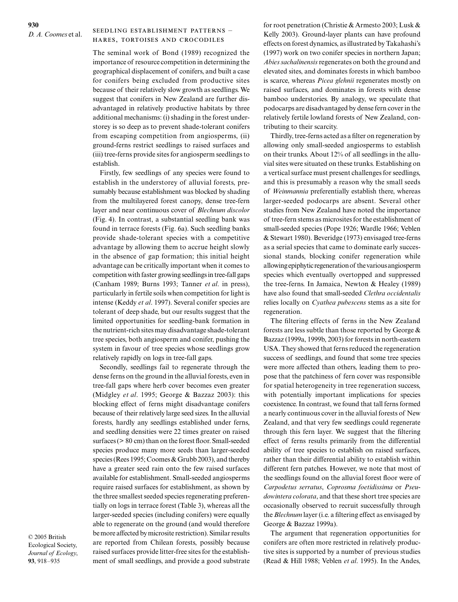## SEEDLING ESTABLISHMENT PATTERNS -HARES, TORTOISES AND CROCODILES

The seminal work of Bond (1989) recognized the importance of resource competition in determining the geographical displacement of conifers, and built a case for conifers being excluded from productive sites because of their relatively slow growth as seedlings. We suggest that conifers in New Zealand are further disadvantaged in relatively productive habitats by three additional mechanisms: (i) shading in the forest understorey is so deep as to prevent shade-tolerant conifers from escaping competition from angiosperms, (ii) ground-ferns restrict seedlings to raised surfaces and (iii) tree-ferns provide sites for angiosperm seedlings to establish.

Firstly, few seedlings of any species were found to establish in the understorey of alluvial forests, presumably because establishment was blocked by shading from the multilayered forest canopy, dense tree-fern layer and near continuous cover of *Blechnum discolor* (Fig. 4). In contrast, a substantial seedling bank was found in terrace forests (Fig. 6a). Such seedling banks provide shade-tolerant species with a competitive advantage by allowing them to accrue height slowly in the absence of gap formation; this initial height advantage can be critically important when it comes to competition with faster growing seedlings in tree-fall gaps (Canham 1989; Burns 1993; Tanner *et al*. in press), particularly in fertile soils when competition for light is intense (Keddy *et al*. 1997). Several conifer species are tolerant of deep shade, but our results suggest that the limited opportunities for seedling-bank formation in the nutrient-rich sites may disadvantage shade-tolerant tree species, both angiosperm and conifer, pushing the system in favour of tree species whose seedlings grow relatively rapidly on logs in tree-fall gaps.

Secondly, seedlings fail to regenerate through the dense ferns on the ground in the alluvial forests, even in tree-fall gaps where herb cover becomes even greater (Midgley *et al*. 1995; George & Bazzaz 2003): this blocking effect of ferns might disadvantage conifers because of their relatively large seed sizes. In the alluvial forests, hardly any seedlings established under ferns, and seedling densities were 22 times greater on raised surfaces (> 80 cm) than on the forest floor. Small-seeded species produce many more seeds than larger-seeded species (Rees 1995; Coomes & Grubb 2003), and thereby have a greater seed rain onto the few raised surfaces available for establishment. Small-seeded angiosperms require raised surfaces for establishment, as shown by the three smallest seeded species regenerating preferentially on logs in terrace forest (Table 3), whereas all the larger-seeded species (including conifers) were equally able to regenerate on the ground (and would therefore be more affected by microsite restriction). Similar results are reported from Chilean forests, possibly because raised surfaces provide litter-free sites for the establishment of small seedlings, and provide a good substrate

© 2005 British Ecological Society, *Journal of Ecology*, **93**, 918–935

for root penetration (Christie & Armesto 2003; Lusk & Kelly 2003). Ground-layer plants can have profound effects on forest dynamics, as illustrated by Takahashi's (1997) work on two conifer species in northern Japan; *Abies sachalinensis*regenerates on both the ground and elevated sites, and dominates forests in which bamboo is scarce, whereas *Picea glehnii* regenerates mostly on raised surfaces, and dominates in forests with dense bamboo understories. By analogy, we speculate that podocarps are disadvantaged by dense fern cover in the relatively fertile lowland forests of New Zealand, contributing to their scarcity.

Thirdly, tree-ferns acted as a filter on regeneration by allowing only small-seeded angiosperms to establish on their trunks. About 12% of all seedlings in the alluvial sites were situated on these trunks. Establishing on a vertical surface must present challenges for seedlings, and this is presumably a reason why the small seeds of *Weinmannia* preferentially establish there, whereas larger-seeded podocarps are absent. Several other studies from New Zealand have noted the importance of tree-fern stems as microsites for the establishment of small-seeded species (Pope 1926; Wardle 1966; Veblen & Stewart 1980). Beveridge (1973) envisaged tree-ferns as a serial species that came to dominate early successional stands, blocking conifer regeneration while allowing epiphytic regeneration of the various angiosperm species which eventually overtopped and suppressed the tree-ferns. In Jamaica, Newton & Healey (1989) have also found that small-seeded *Clethra occidentalis* relies locally on *Cyathea pubescens* stems as a site for regeneration.

The filtering effects of ferns in the New Zealand forests are less subtle than those reported by George & Bazzaz (1999a, 1999b, 2003) for forests in north-eastern USA. They showed that ferns reduced the regeneration success of seedlings, and found that some tree species were more affected than others, leading them to propose that the patchiness of fern cover was responsible for spatial heterogeneity in tree regeneration success, with potentially important implications for species coexistence. In contrast, we found that tall ferns formed a nearly continuous cover in the alluvial forests of New Zealand, and that very few seedlings could regenerate through this fern layer. We suggest that the filtering effect of ferns results primarily from the differential ability of tree species to establish on raised surfaces, rather than their differential ability to establish within different fern patches. However, we note that most of the seedlings found on the alluvial forest floor were of *Carpodetus serratus*, *Coprosma foetidissima* or *Pseudowintera colorata*, and that these short tree species are occasionally observed to recruit successfully through the *Blechnum* layer (i.e. a filtering effect as envisaged by George & Bazzaz 1999a).

The argument that regeneration opportunities for conifers are often more restricted in relatively productive sites is supported by a number of previous studies (Read & Hill 1988; Veblen *et al*. 1995). In the Andes,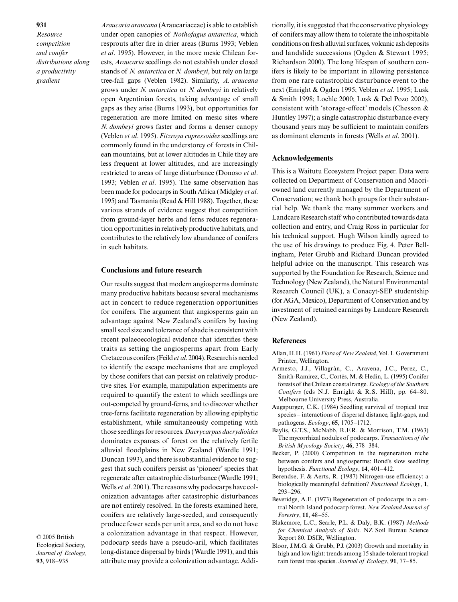*Resource competition and conifer distributions along a productivity gradient*

*Araucaria araucana* (Araucariaceae) is able to establish under open canopies of *Nothofagus antarctica*, which resprouts after fire in drier areas (Burns 1993; Veblen *et al*. 1995). However, in the more mesic Chilean forests, *Araucaria* seedlings do not establish under closed stands of *N. antarctica* or *N. dombeyi*, but rely on large tree-fall gaps (Veblen 1982). Similarly, *A. araucana* grows under *N. antarctica* or *N. dombeyi* in relatively open Argentinian forests, taking advantage of small gaps as they arise (Burns 1993), but opportunities for regeneration are more limited on mesic sites where *N. dombeyi* grows faster and forms a denser canopy (Veblen *et al*. 1995). *Fitzroya cupressoides* seedlings are commonly found in the understorey of forests in Chilean mountains, but at lower altitudes in Chile they are less frequent at lower altitudes, and are increasingly restricted to areas of large disturbance (Donoso *et al*. 1993; Veblen *et al*. 1995). The same observation has been made for podocarps in South Africa (Midgley *et al*. 1995) and Tasmania (Read & Hill 1988). Together, these various strands of evidence suggest that competition from ground-layer herbs and ferns reduces regeneration opportunities in relatively productive habitats, and contributes to the relatively low abundance of conifers in such habitats.

#### **Conclusions and future research**

Our results suggest that modern angiosperms dominate many productive habitats because several mechanisms act in concert to reduce regeneration opportunities for conifers. The argument that angiosperms gain an advantage against New Zealand's conifers by having small seed size and tolerance of shade is consistent with recent palaeoecological evidence that identifies these traits as setting the angiosperms apart from Early Cretaceous conifers (Feild *et al*. 2004). Research is needed to identify the escape mechanisms that are employed by those conifers that can persist on relatively productive sites. For example, manipulation experiments are required to quantify the extent to which seedlings are out-competed by ground-ferns, and to discover whether tree-ferns facilitate regeneration by allowing epiphytic establishment, while simultaneously competing with those seedlings for resources. *Dacrycarpus dacrydioides* dominates expanses of forest on the relatively fertile alluvial floodplains in New Zealand (Wardle 1991; Duncan 1993), and there is substantial evidence to suggest that such conifers persist as 'pioneer' species that regenerate after catastrophic disturbance (Wardle 1991; Wells *et al*. 2001). The reasons why podocarps have colonization advantages after catastrophic disturbances are not entirely resolved. In the forests examined here, conifers are relatively large-seeded, and consequently produce fewer seeds per unit area, and so do not have a colonization advantage in that respect. However, podocarp seeds have a pseudo-aril, which facilitates long-distance dispersal by birds (Wardle 1991), and this attribute may provide a colonization advantage. Addi-

© 2005 British Ecological Society, *Journal of Ecology*, **93**, 918–935

tionally, it is suggested that the conservative physiology of conifers may allow them to tolerate the inhospitable conditions on fresh alluvial surfaces, volcanic ash deposits and landslide successions (Ogden & Stewart 1995; Richardson 2000). The long lifespan of southern conifers is likely to be important in allowing persistence from one rare catastrophic disturbance event to the next (Enright & Ogden 1995; Veblen *et al*. 1995; Lusk & Smith 1998; Loehle 2000; Lusk & Del Pozo 2002), consistent with 'storage-effect' models (Chesson & Huntley 1997); a single catastrophic disturbance every thousand years may be sufficient to maintain conifers as dominant elements in forests (Wells *et al*. 2001).

#### **Acknowledgements**

This is a Waitutu Ecosystem Project paper. Data were collected on Department of Conservation and Maoriowned land currently managed by the Department of Conservation; we thank both groups for their substantial help. We thank the many summer workers and Landcare Research staff who contributed towards data collection and entry, and Craig Ross in particular for his technical support. Hugh Wilson kindly agreed to the use of his drawings to produce Fig. 4. Peter Bellingham, Peter Grubb and Richard Duncan provided helpful advice on the manuscript. This research was supported by the Foundation for Research, Science and Technology (New Zealand), the Natural Environmental Research Council (UK), a Conacyt-SEP studentship (for AGA, Mexico), Department of Conservation and by investment of retained earnings by Landcare Research (New Zealand).

#### **References**

- Allan, H.H. (1961) *Flora of New Zealand*, Vol. 1. Government Printer, Wellington.
- Armesto, J.J., Villagrán, C., Aravena, J.C., Perez, C., Smith-Ramirez, C., Cortés, M. & Hedin, L. (1995) Conifer forests of the Chilean coastal range. *Ecology of the Southern Conifers* (eds N.J. Enright & R.S. Hill), pp. 64–80. Melbourne University Press, Australia.
- Augspurger, C.K. (1984) Seedling survival of tropical tree species – interactions of dispersal distance, light-gaps, and pathogens. *Ecology*, **65**, 1705–1712.
- Baylis, G.T.S., McNabb, R.F.R. & Morrison, T.M. (1963) The mycorrhizal nodules of podocarps. *Transactions of the British Mycology Society*, **46**, 378–384.
- Becker, P. (2000) Competition in the regeneration niche between conifers and angiosperms: Bond's slow seedling hypothesis. *Functional Ecology*, **14**, 401–412.
- Berendse, F. & Aerts, R. (1987) Nitrogen-use efficiency: a biologically meaningful definition? *Functional Ecology*, **1**, 293–296.
- Beveridge, A.E. (1973) Regeneration of podocarps in a central North Island podocarp forest. *New Zealand Journal of Forestry*, **11**, 48–55.
- Blakemore, L.C., Searle, P.L. & Daly, B.K. (1987) *Methods for Chemical Analysis of Soils*. NZ Soil Bureau Science Report 80. DSIR, Wellington.
- Bloor, J.M.G. & Grubb, P.J. (2003) Growth and mortality in high and low light: trends among 15 shade-tolerant tropical rain forest tree species. *Journal of Ecology*, **91**, 77–85.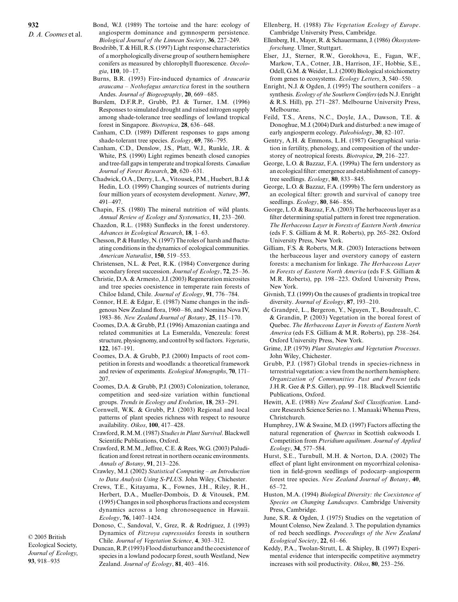- Bond, W.J. (1989) The tortoise and the hare: ecology of angiosperm dominance and gymnosperm persistence. *Biological Journal of the Linnean Society*, **36**, 227–249.
- Brodribb, T. & Hill, R.S. (1997) Light response characteristics of a morphologically diverse group of southern hemisphere conifers as measured by chlorophyll fluorescence. *Oecologia*, **110**, 10–17.
- Burns, B.R. (1993) Fire-induced dynamics of *Araucaria araucana – Nothofagus antarctica* forest in the southern Andes. *Journal of Biogeography*, **20**, 669–685.
- Burslem, D.F.R.P., Grubb, P.J. & Turner, I.M. (1996) Responses to simulated drought and raised nitrogen supply among shade-tolerance tree seedlings of lowland tropical forest in Singapore. *Biotropica*, **28**, 636–648.
- Canham, C.D. (1989) Different responses to gaps among shade-tolerant tree species. *Ecology*, **69**, 786–795.
- Canham, C.D., Denslow, J.S., Platt, W.J., Runkle, J.R. & White, P.S. (1990) Light regimes beneath closed canopies and tree-fall gaps in temperate and tropical forests. *Canadian Journal of Forest Research*, **20**, 620–631.
- Chadwick, O.A., Derry, L.A., Vitousek, P.M., Huebert, B.J. & Hedin, L.O. (1999) Changing sources of nutrients during four million years of ecosystem development. *Nature*, **397**, 491–497.
- Chapin, F.S. (1980) The mineral nutrition of wild plants. *Annual Review of Ecology and Systematics*, **11**, 233–260.
- Chazdon, R.L. (1988) Sunflecks in the forest understorey. *Advances in Ecological Research*, **18**, 1–63.
- Chesson, P. & Huntley, N. (1997) The roles of harsh and fluctuating conditions in the dynamics of ecological communities. *American Naturalist*, **150**, 519–553.
- Christensen, N.L. & Peet, R.K. (1984) Convergence during secondary forest succession. *Journal of Ecology*, **72**, 25–36.
- Christie, D.A. & Armesto, J.J. (2003) Regeneration microsites and tree species coexistence in temperate rain forests of Chiloe Island, Chile. *Journal of Ecology*, **91**, 776–784.
- Connor, H.E. & Edgar, E. (1987) Name changes in the indigenous New Zealand flora, 1960–86, and Nomina Nova IV, 1983–86. *New Zealand Journal of Botany*, **25**, 115–170.
- Coomes, D.A. & Grubb, P.J. (1996) Amazonian caatinga and related communities at La Esmeralda, Venezeula: forest structure, physiognomy, and control by soil factors. *Vegetatio*, **122**, 167–191.
- Coomes, D.A. & Grubb, P.J. (2000) Impacts of root competition in forests and woodlands: a theoretical framework and review of experiments. *Ecological Monographs*, **70**, 171– 207.
- Coomes, D.A. & Grubb, P.J. (2003) Colonization, tolerance, competition and seed-size variation within functional groups. *Trends in Ecology and Evolution*, **18**, 283–291.
- Cornwell, W.K. & Grubb, P.J. (2003) Regional and local patterns of plant species richness with respect to resource availability. *Oikos*, **100**, 417–428.
- Crawford, R.M.M. (1987) *Studies in Plant Survival*. Blackwell Scientific Publications, Oxford.
- Crawford, R.M.M., Jeffree, C.E. & Rees, W.G. (2003) Paludification and forest retreat in northern oceanic environments. *Annals of Botany*, **91**, 213–226.
- Crawley, M.J. (2002) *Statistical Computing an Introduction to Data Analysis Using S-PLUS*. John Wiley, Chichester.
- Crews, T.E., Kitayama, K., Fownes, J.H., Riley, R.H., Herbert, D.A., Mueller-Dombois, D. & Vitousek, P.M. (1995) Changes in soil phosphorus fractions and ecosystem dynamics across a long chronosequence in Hawaii. *Ecology*, **76**, 1407–1424.

© 2005 British Ecological Society, *Journal of Ecology*, **93**, 918–935

Dynamics of *Fitzroya cupressoides* forests in southern Chile. *Journal of Vegetation Science*, **4**, 303–312. Duncan, R.P. (1993) Flood disturbance and the coexistence of

Donoso, C., Sandoval, V., Grez, R. & Rodríguez, J. (1993)

species in a lowland podocarp forest, south Westland, New Zealand. *Journal of Ecology*, **81**, 403–416.

- Ellenberg, H. (1988) *The Vegetation Ecology of Europe*. Cambridge University Press, Cambridge.
- Ellenberg, H., Mayer, R. & Schauermann, J. (1986) *Ökosystemforschung*. Ulmer, Stuttgart.
- Elser, J.J., Sterner, R.W., Gorokhova, E., Fagan, W.F., Markow, T.A., Cotner, J.B., Harrison, J.F., Hobbie, S.E., Odell, G.M. & Weider, L.J. (2000) Biological stoichiometry from genes to ecosystems. *Ecology Letters*, **3**, 540–550.
- Enright, N.J. & Ogden, J. (1995) The southern conifers a synthesis. *Ecology of the Southern Conifers*(eds N.J. Enright & R.S. Hill), pp. 271–287. Melbourne University Press, Melbourne.
- Feild, T.S., Arens, N.C., Doyle, J.A., Dawson, T.E. & Donoghue, M.J. (2004) Dark and disturbed: a new image of early angiosperm ecology. *Paleobiology*, **30**, 82–107.
- Gentry, A.H. & Emmons, L.H. (1987) Geographical variation in fertility, phenology, and composition of the understorey of neotropical forests. *Biotropica*, **29**, 216–227.
- George, L.O. & Bazzaz, F.A. (1999a) The fern understory as an ecological filter: emergence and establishment of canopytree seedlings. *Ecology*, **80**, 833–845.
- George, L.O. & Bazzaz, F.A. (1999b) The fern understory as an ecological filter: growth and survival of canopy tree seedlings. *Ecology*, **80**, 846–856.
- George, L.O. & Bazzaz, F.A. (2003) The herbaceous layer as a filter determining spatial pattern in forest tree regeneration. *The Herbaceous Layer in Forests of Eastern North America* (eds F. S. Gilliam & M. R. Roberts), pp. 265–282. Oxford University Press, New York.
- Gilliam, F.S. & Roberts, M.R. (2003) Interactions between the herbaceous layer and overstory canopy of eastern forests: a mechanism for linkage. *The Herbaceous Layer in Forests of Eastern North America* (eds F.S. Gilliam & M.R. Roberts), pp. 198–223. Oxford University Press, New York.
- Givnish, T.J. (1999) On the causes of gradients in tropical tree diversity. *Journal of Ecology*, **87**, 193–210.
- de Grandpré, L., Bergeron, Y., Nguyen, T., Boudreault, C. & Grandin, P. (2003) Vegetation in the boreal forest of Quebec. *The Herbaceous Layer in Forests of Eastern North America* (eds F.S. Gilliam & M.R. Roberts), pp. 238–264. Oxford University Press, New York.
- Grime, J.P. (1979) *Plant Strategies and Vegetation Processes*. John Wiley, Chichester.
- Grubb, P.J. (1987) Global trends in species-richness in terrestrial vegetation: a view from the northern hemisphere. *Organization of Communities Past and Present* (eds J.H.R. Gee & P.S. Giller), pp. 99–118. Blackwell Scientific Publications, Oxford.
- Hewitt, A.E. (1988) *New Zealand Soil Classification*. Landcare Research Science Series no. 1. Manaaki Whenua Press, Christchurch.
- Humphrey, J.W. & Swaine, M.D. (1997) Factors affecting the natural regeneration of *Quercus* in Scottish oakwoods I. Competition from *Pteridium aquilinum*. *Journal of Applied Ecology*, **34**, 577–584.
- Hurst, S.E., Turnbull, M.H. & Norton, D.A. (2002) The effect of plant light environment on mycorrhizal colonisation in field-grown seedlings of podocarp–angiosperm forest tree species. *New Zealand Journal of Botany*, **40**,  $65 - 72.$
- Huston, M.A. (1994) *Biological Diversity: the Coexistence of Species on Changing Landscapes*. Cambridge University Press, Cambridge.
- June, S.R. & Ogden, J. (1975) Studies on the vegetation of Mount Colenso, New Zealand. 3. The population dynamics of red beech seedlings. *Proceedings of the New Zealand Ecological Society*, **22**, 61–66.
- Keddy, P.A., Twolan-Strutt, L. & Shipley, B. (1997) Experimental evidence that interspecific competitive asymmetry increases with soil productivity. *Oikos*, **80**, 253–256.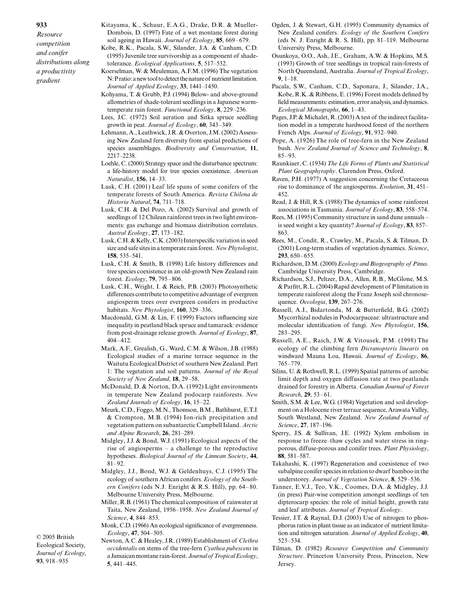*Resource competition and conifer distributions along a productivity gradient*

- Kitayama, K., Schuur, E.A.G., Drake, D.R. & Mueller-Dombois, D. (1997) Fate of a wet montane forest during soil ageing in Hawaii. *Journal of Ecology*, **85**, 669–679.
- Kobe, R.K., Pacala, S.W., Silander, J.A. & Canham, C.D. (1995) Juvenile tree survivorship as a component of shadetolerance. *Ecological Applications*, **5**, 517–532.
- Koerselman, W. & Meuleman, A.F.M. (1996) The vegetation N: P ratio: a new tool to detect the nature of nutrient limitation. *Journal of Applied Ecology*, **33**, 1441–1450.
- Kohyama, T. & Grubb, P.J. (1994) Below- and above-ground allometries of shade-tolerant seedlings in a Japanese warmtemperate rain forest. *Functional Ecology*, **8**, 229–236.
- Lees, J.C. (1972) Soil aeration and Sitka spruce seedling growth in peat. *Journal of Ecology*, **60**, 343–349.
- Lehmann, A., Leathwick, J.R. & Overton, J.M. (2002) Assessing New Zealand fern diversity from spatial predictions of species assemblages. *Biodiversity and Conservation*, **11**, 2217–2238.
- Loehle, C. (2000) Strategy space and the disturbance spectrum: a life-history model for tree species coexistence. *American Naturalist*, **156**, 14–33.
- Lusk, C.H. (2001) Leaf life spans of some conifers of the temperate forests of South America. *Revista Chilena de Historia Natural*, **74**, 711–718.
- Lusk, C.H. & Del Pozo, A. (2002) Survival and growth of seedlings of 12 Chilean rainforest trees in two light environments: gas exchange and biomass distribution correlates. *Austral Ecology*, **27**, 173–182.
- Lusk, C.H. & Kelly, C.K. (2003) Interspecific variation in seed size and safe sites in a temperate rain forest. *New Phytologist*, **158**, 535–541.
- Lusk, C.H. & Smith, B. (1998) Life history differences and tree species coexistence in an old-growth New Zealand rain forest. *Ecology*, **79**, 795–806.
- Lusk, C.H., Wright, I. & Reich, P.B. (2003) Photosynthetic differences contribute to competitive advantage of evergreen angiosperm trees over evergreen conifers in productive habitats. *New Phytologist*, **160**, 329–336.
- Macdonald, G.M. & Lin, F. (1999) Factors influencing size inequality in peatland black spruce and tamarack: evidence from post-drainage release growth. *Journal of Ecology*, **87**, 404–412.
- Mark, A.F., Grealish, G., Ward, C.M. & Wilson, J.B. (1988) Ecological studies of a marine terrace sequence in the Waitutu Ecological District of southern New Zealand. Part 1: The vegetation and soil patterns. *Journal of the Royal Society of New Zealand*, **18**, 29–58.
- McDonald, D. & Norton, D.A. (1992) Light environments in temperate New Zealand podocarp rainforests. *New Zealand Journals of Ecology*, **16**, 15–22.
- Meurk, C.D., Foggo, M.N., Thomson, B.M., Bathhurst, E.T.J. & Crompton, M.B. (1994) Ion-rich precipitation and vegetation pattern on subantarctic Campbell Island. *Arctic and Alpine Research*, **26**, 281–289.
- Midgley, J.J. & Bond, W.J. (1991) Ecological aspects of the rise of angiosperms – a challenge to the reproductive hypotheses. *Biological Journal of the Linnean Society*, **44**, 81–92.
- Midgley, J.J., Bond, W.J. & Geldenhuys, C.J. (1995) The ecology of southern African conifers. *Ecology of the Southern Conifers* (eds N.J. Enright & R.S. Hill), pp. 64–80. Melbourne University Press, Melbourne.
- Miller, R.B. (1961) The chemical composition of rainwater at Taita, New Zealand, 1956–1958. *New Zealand Journal of Science*, **4**, 844–853.
- Monk, C.D. (1966) An ecological significance of evergreenness. *Ecology*, **47**, 504–505.

© 2005 British Ecological Society, *Journal of Ecology*, **93**, 918–935

Newton, A.C. & Healey, J.R. (1989) Establishment of *Clethra occidentalis* on stems of the tree-fern *Cyathea pubescens* in a Jamaican montane rain-forest. *Journal of Tropical Ecology*, **5**, 441–445.

- Ogden, J. & Stewart, G.H. (1995) Community dynamics of New Zealand conifers. *Ecology of the Southern Conifers* (eds N. J. Enright & R. S. Hill), pp. 81–119. Melbourne University Press, Melbourne.
- Osunkoya, O.O., Ash, J.E., Graham, A.W. & Hopkins, M.S. (1993) Growth of tree seedlings in tropical rain-forests of North Queensland, Australia. *Journal of Tropical Ecology*, **9**, 1–18.
- Pacala, S.W., Canham, C.D., Saponara, J., Silander, J.A., Kobe, R.K. & Ribbens, E. (1996) Forest models defined by field measurements: estimation, error analysis, and dynamics. *Ecological Monographs*, **66**, 1–43.
- Pages, J.P. & Michalet, R. (2003) A test of the indirect facilitation model in a temperate hardwood forest of the northern French Alps. *Journal of Ecology*, **91**, 932–940.
- Pope, A. (1926) The role of tree-fern in the New Zealand bush. *New Zealand Journal of Science and Technology*, **8**, 85–93.
- Raunkiaer, C. (1934) *The Life Forms of Plants and Statistical Plant Geographyraphy*. Clarendon Press, Oxford.
- Raven, P.H. (1977) A suggestion concerning the Cretaceous rise to dominance of the angiosperms. *Evolution*, **31**, 451– 452.
- Read, J. & Hill, R.S. (1988) The dynamics of some rainforest associations in Tasmania. *Journal of Ecology*, **83**, 558–574.
- Rees, M. (1995) Community structure in sand dune annuals is seed weight a key quantity? *Journal of Ecology*, **83**, 857– 863.
- Rees, M., Condit, R., Crawley, M., Pacala, S. & Tilman, D. (2001) Long-term studies of vegetation dynamics. *Science*, **293**, 650–655.
- Richardson, D.M. (2000) *Ecology and Biogeography of Pinus*. Cambridge University Press, Cambridge.
- Richardson, S.J., Peltzer, D.A., Allen, R.B., McGlone, M.S. & Parfitt, R.L. (2004) Rapid development of P limitation in temperate rainforest along the Franz Joseph soil chronosequence. *Oecologia*, **139**, 267–276.
- Russell, A.J., Bidartonda, M. & Butterfield, B.G. (2002) Mycorrhizal nodules in Podocarpaceae: ultrastructure and molecular identification of fungi. *New Phytologist*, **156**, 283–295.
- Russell, A.E., Raich, J.W. & Vitousek, P.M. (1998) The ecology of the climbing fern *Dicranopteris linearis* on windward Mauna Loa, Hawaii. *Journal of Ecology*, **86**, 765–779.
- Silins, U. & Rothwell, R.L. (1999) Spatial patterns of aerobic limit depth and oxygen diffusion rate at two peatlands drained for forestry in Alberta. *Canadian Journal of Forest Research*, **29**, 53–61.
- Smith, S.M. & Lee, W.G. (1984) Vegetation and soil development on a Holocene river terrace sequence, Arawata Valley, South Westland, New Zealand. *New Zealand Journal of Science*, **27**, 187–196.
- Sperry, J.S. & Sullivan, J.E. (1992) Xylem embolism in response to freeze–thaw cycles and water stress in ringporous, diffuse-porous and conifer trees. *Plant Physiology*, **88**, 581–587.
- Takahashi, K. (1997) Regeneration and coexistence of two subalpine conifer species in relation to dwarf bamboo in the understorey. *Journal of Vegetation Science*, **8**, 529–536.
- Tanner, E.V.J., Teo, V.K., Coomes, D.A. & Midgley, J.J. (in press) Pair-wise competition amongst seedlings of ten dipterocarp species: the role of initial height, growth rate and leaf attributes. *Journal of Tropical Ecology*.
- Tessier, J.T. & Raynal, D.J. (2003) Use of nitrogen to phosphorus ratios in plant tissue as an indicator of nutrient limitation and nitrogen saturation. *Journal of Applied Ecology*, **40**, 523–534.
- Tilman, D. (1982) *Resource Competition and Community Structure*. Princeton University Press, Princeton, New Jersey.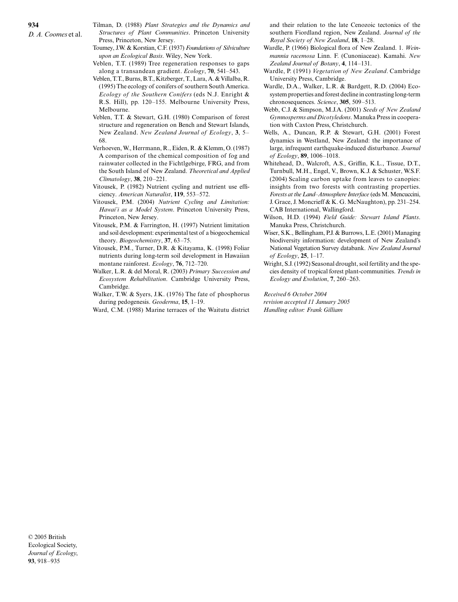- Tilman, D. (1988) *Plant Strategies and the Dynamics and Structures of Plant Communities*. Princeton University Press, Princeton, New Jersey.
- Toumey, J.W. & Korstian, C.F. (1937) *Foundations of Silviculture upon an Ecological Basis*. Wiley, New York.
- Veblen, T.T. (1989) Tree regeneration responses to gaps along a transandean gradient. *Ecology*, **70**, 541–543.
- Veblen, T.T., Burns, B.T., Kitzberger, T., Lara, A. & Villalba, R. (1995) The ecology of conifers of southern South America. *Ecology of the Southern Conifers* (eds N.J. Enright & R.S. Hill), pp. 120–155. Melbourne University Press, Melbourne.
- Veblen, T.T. & Stewart, G.H. (1980) Comparison of forest structure and regeneration on Bench and Stewart Islands, New Zealand. *New Zealand Journal of Ecology*, **3**, 5– 68.
- Verhoeven, W., Herrmann, R., Eiden, R. & Klemm, O. (1987) A comparison of the chemical composition of fog and rainwater collected in the Fichtlgebirge, FRG, and from the South Island of New Zealand. *Theoretical and Applied Climatology*, **38**, 210–221.
- Vitousek, P. (1982) Nutrient cycling and nutrient use efficiency. *American Naturalist*, **119**, 553–572.
- Vitousek, P.M. (2004) *Nutrient Cycling and Limitation: Hawai'i as a Model System*. Princeton University Press, Princeton, New Jersey.
- Vitousek, P.M. & Farrington, H. (1997) Nutrient limitation and soil development: experimental test of a biogeochemical theory. *Biogeochemistry*, **37**, 63–75.
- Vitousek, P.M., Turner, D.R. & Kitayama, K. (1998) Foliar nutrients during long-term soil development in Hawaiian montane rainforest. *Ecology*, **76**, 712–720.
- Walker, L.R. & del Moral, R. (2003) *Primary Succession and Ecosystem Rehabilitation*. Cambridge University Press, Cambridge.
- Walker, T.W. & Syers, J.K. (1976) The fate of phosphorus during pedogenesis. *Geoderma*, **15**, 1–19.
- Ward, C.M. (1988) Marine terraces of the Waitutu district

and their relation to the late Cenozoic tectonics of the southern Fiordland region, New Zealand. *Journal of the Royal Society of New Zealand*, **18**, 1–28.

- Wardle, P. (1966) Biological flora of New Zealand. 1. *Weinmannia racemosa* Linn. F. (Cunoniaceae). Kamahi. *New Zealand Journal of Botany*, **4**, 114–131.
- Wardle, P. (1991) *Vegetation of New Zealand*. Cambridge University Press, Cambridge.
- Wardle, D.A., Walker, L.R. & Bardgett, R.D. (2004) Ecosystem properties and forest decline in contrasting long-term chronosequences. *Science*, **305**, 509–513.
- Webb, C.J. & Simpson, M.J.A. (2001) *Seeds of New Zealand Gymnosperms and Dicotyledons*. Manuka Press in cooperation with Caxton Press, Christchurch.
- Wells, A., Duncan, R.P. & Stewart, G.H. (2001) Forest dynamics in Westland, New Zealand: the importance of large, infrequent earthquake-induced disturbance. *Journal of Ecology*, **89**, 1006–1018.
- Whitehead, D., Walcroft, A.S., Griffin, K.L., Tissue, D.T., Turnbull, M.H., Engel, V., Brown, K.J. & Schuster, W.S.F. (2004) Scaling carbon uptake from leaves to canopies: insights from two forests with contrasting properties. *Forests at the Land–Atmosphere Interface* (eds M. Mencuccini, J. Grace, J. Moncrieff & K. G. McNaughton), pp. 231–254. CAB International, Wallingford.
- Wilson, H.D. (1994) *Field Guide: Stewart Island Plants*. Manuka Press, Christchurch.
- Wiser, S.K., Bellingham, P.J. & Burrows, L.E. (2001) Managing biodiversity information: development of New Zealand's National Vegetation Survey databank. *New Zealand Journal of Ecology*, **25**, 1–17.
- Wright, S.J. (1992) Seasonal drought, soil fertility and the species density of tropical forest plant-communities. *Trends in Ecology and Evolution*, **7**, 260–263.

*Received 6 October 2004 revision accepted 11 January 2005 Handling editor: Frank Gilliam*